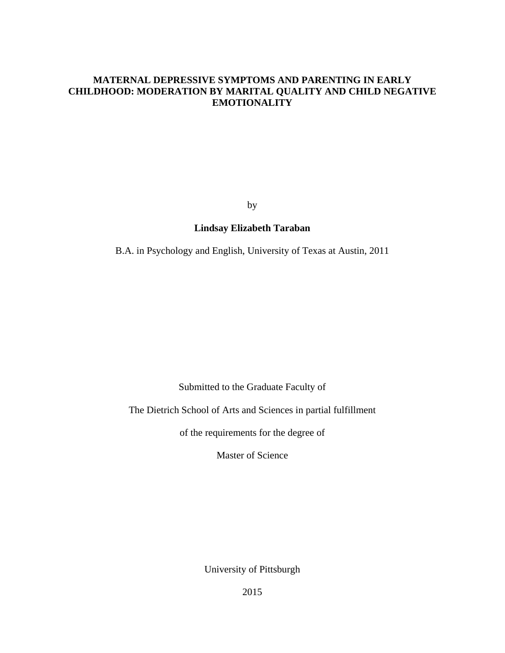## **MATERNAL DEPRESSIVE SYMPTOMS AND PARENTING IN EARLY CHILDHOOD: MODERATION BY MARITAL QUALITY AND CHILD NEGATIVE EMOTIONALITY**

by

# **Lindsay Elizabeth Taraban**

B.A. in Psychology and English, University of Texas at Austin, 2011

Submitted to the Graduate Faculty of

The Dietrich School of Arts and Sciences in partial fulfillment

of the requirements for the degree of

Master of Science

University of Pittsburgh

2015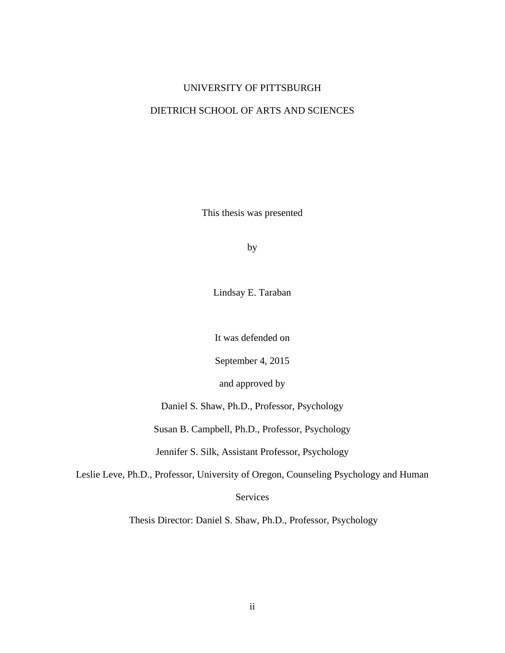### UNIVERSITY OF PITTSBURGH

## DIETRICH SCHOOL OF ARTS AND SCIENCES

This thesis was presented

by

Lindsay E. Taraban

It was defended on

September 4, 2015

and approved by

Daniel S. Shaw, Ph.D., Professor, Psychology

Susan B. Campbell, Ph.D., Professor, Psychology

Jennifer S. Silk, Assistant Professor, Psychology

Leslie Leve, Ph.D., Professor, University of Oregon, Counseling Psychology and Human

Services

Thesis Director: Daniel S. Shaw, Ph.D., Professor, Psychology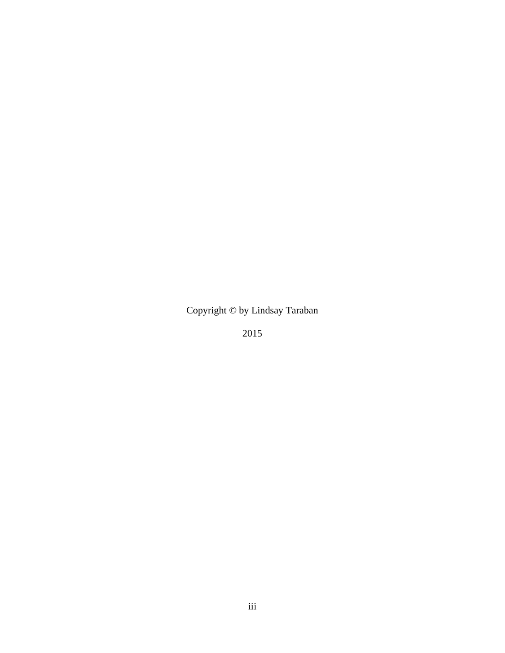Copyright © by Lindsay Taraban

2015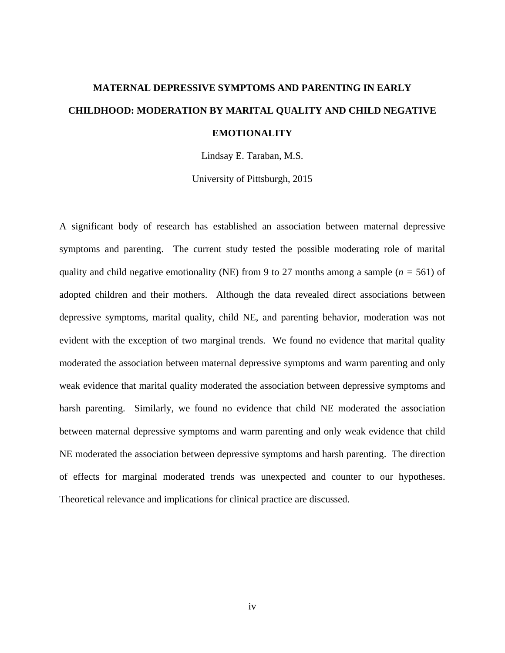# **MATERNAL DEPRESSIVE SYMPTOMS AND PARENTING IN EARLY CHILDHOOD: MODERATION BY MARITAL QUALITY AND CHILD NEGATIVE EMOTIONALITY**

Lindsay E. Taraban, M.S.

University of Pittsburgh, 2015

A significant body of research has established an association between maternal depressive symptoms and parenting. The current study tested the possible moderating role of marital quality and child negative emotionality (NE) from 9 to 27 months among a sample (*n =* 561) of adopted children and their mothers. Although the data revealed direct associations between depressive symptoms, marital quality, child NE, and parenting behavior, moderation was not evident with the exception of two marginal trends. We found no evidence that marital quality moderated the association between maternal depressive symptoms and warm parenting and only weak evidence that marital quality moderated the association between depressive symptoms and harsh parenting. Similarly, we found no evidence that child NE moderated the association between maternal depressive symptoms and warm parenting and only weak evidence that child NE moderated the association between depressive symptoms and harsh parenting. The direction of effects for marginal moderated trends was unexpected and counter to our hypotheses. Theoretical relevance and implications for clinical practice are discussed.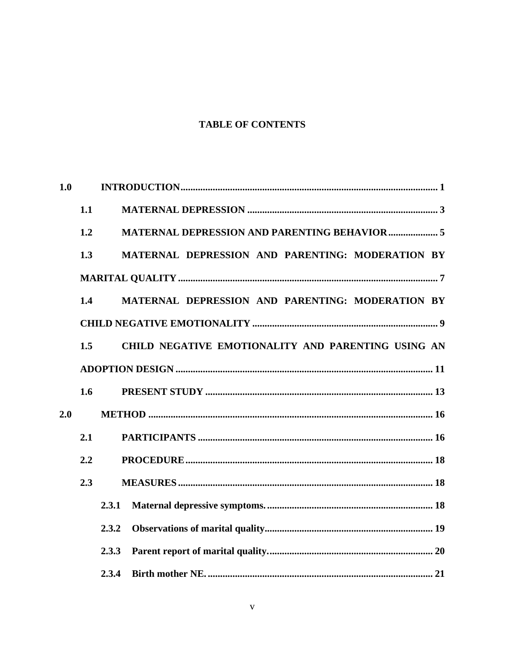# **TABLE OF CONTENTS**

| 1.0 |     |       |                                                      |
|-----|-----|-------|------------------------------------------------------|
|     | 1.1 |       |                                                      |
|     | 1.2 |       | <b>MATERNAL DEPRESSION AND PARENTING BEHAVIOR  5</b> |
|     | 1.3 |       | MATERNAL DEPRESSION AND PARENTING: MODERATION BY     |
|     |     |       |                                                      |
|     | 1.4 |       | MATERNAL DEPRESSION AND PARENTING: MODERATION BY     |
|     |     |       |                                                      |
|     | 1.5 |       | CHILD NEGATIVE EMOTIONALITY AND PARENTING USING AN   |
|     |     |       |                                                      |
|     | 1.6 |       |                                                      |
| 2.0 |     |       |                                                      |
|     | 2.1 |       |                                                      |
|     | 2.2 |       |                                                      |
|     | 2.3 |       |                                                      |
|     |     | 2.3.1 |                                                      |
|     |     | 2.3.2 |                                                      |
|     |     | 2.3.3 |                                                      |
|     |     | 2.3.4 |                                                      |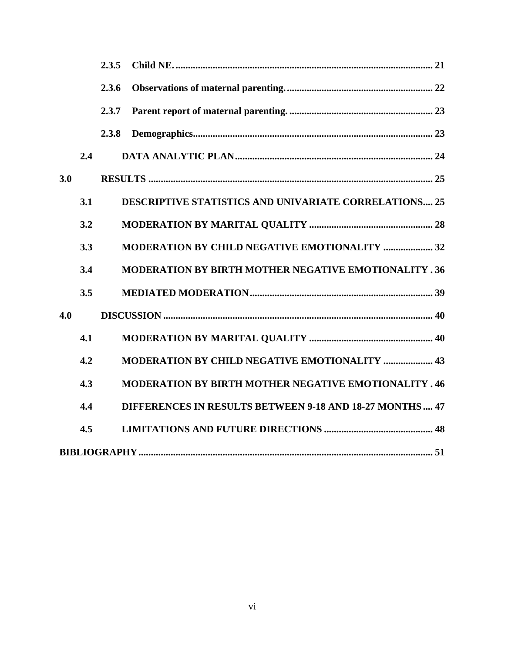|     |     | 2.3.5 |                                                                |
|-----|-----|-------|----------------------------------------------------------------|
|     |     | 2.3.6 |                                                                |
|     |     | 2.3.7 |                                                                |
|     |     | 2.3.8 |                                                                |
|     | 2.4 |       |                                                                |
| 3.0 |     |       |                                                                |
|     | 3.1 |       | <b>DESCRIPTIVE STATISTICS AND UNIVARIATE CORRELATIONS 25</b>   |
|     | 3.2 |       |                                                                |
|     | 3.3 |       | <b>MODERATION BY CHILD NEGATIVE EMOTIONALITY  32</b>           |
|     | 3.4 |       | <b>MODERATION BY BIRTH MOTHER NEGATIVE EMOTIONALITY .36</b>    |
|     | 3.5 |       |                                                                |
| 4.0 |     |       |                                                                |
|     | 4.1 |       |                                                                |
|     | 4.2 |       | <b>MODERATION BY CHILD NEGATIVE EMOTIONALITY  43</b>           |
|     | 4.3 |       | <b>MODERATION BY BIRTH MOTHER NEGATIVE EMOTIONALITY . 46</b>   |
|     | 4.4 |       | <b>DIFFERENCES IN RESULTS BETWEEN 9-18 AND 18-27 MONTHS 47</b> |
|     | 4.5 |       |                                                                |
|     |     |       |                                                                |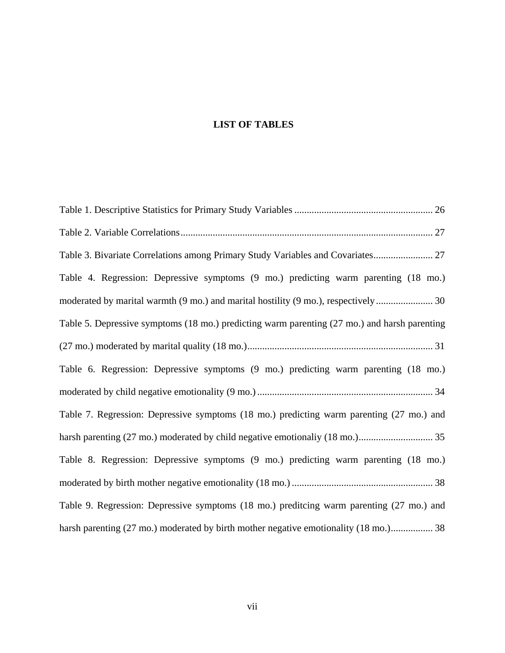# **LIST OF TABLES**

| Table 3. Bivariate Correlations among Primary Study Variables and Covariates 27              |
|----------------------------------------------------------------------------------------------|
| Table 4. Regression: Depressive symptoms (9 mo.) predicting warm parenting (18 mo.)          |
|                                                                                              |
| Table 5. Depressive symptoms (18 mo.) predicting warm parenting (27 mo.) and harsh parenting |
|                                                                                              |
| Table 6. Regression: Depressive symptoms (9 mo.) predicting warm parenting (18 mo.)          |
|                                                                                              |
| Table 7. Regression: Depressive symptoms (18 mo.) predicting warm parenting (27 mo.) and     |
|                                                                                              |
| Table 8. Regression: Depressive symptoms (9 mo.) predicting warm parenting (18 mo.)          |
|                                                                                              |
| Table 9. Regression: Depressive symptoms (18 mo.) preditcing warm parenting (27 mo.) and     |
| harsh parenting (27 mo.) moderated by birth mother negative emotionality (18 mo.) 38         |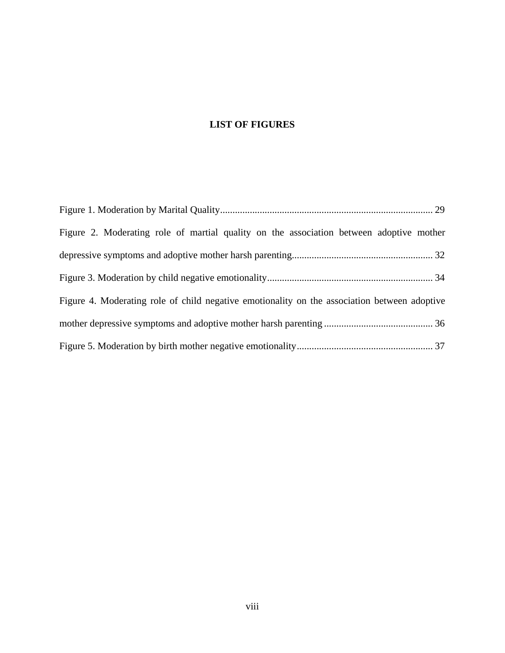# **LIST OF FIGURES**

| Figure 2. Moderating role of martial quality on the association between adoptive mother      |  |
|----------------------------------------------------------------------------------------------|--|
|                                                                                              |  |
|                                                                                              |  |
| Figure 4. Moderating role of child negative emotionality on the association between adoptive |  |
|                                                                                              |  |
|                                                                                              |  |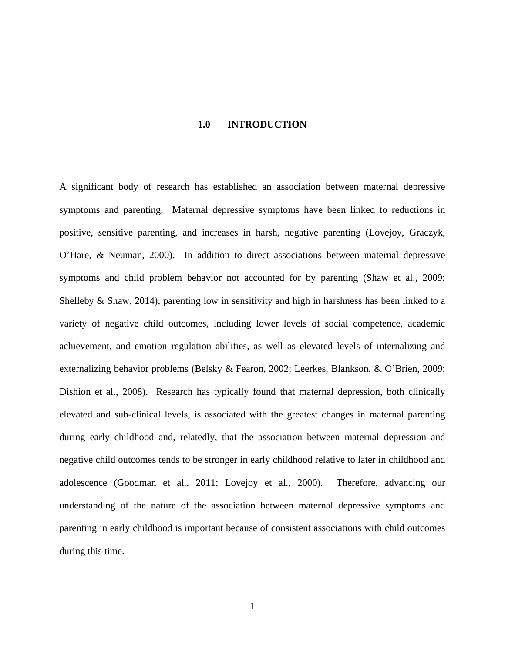#### **1.0 INTRODUCTION**

<span id="page-8-0"></span>A significant body of research has established an association between maternal depressive symptoms and parenting. Maternal depressive symptoms have been linked to reductions in positive, sensitive parenting, and increases in harsh, negative parenting (Lovejoy, Graczyk, O'Hare, & Neuman, 2000). In addition to direct associations between maternal depressive symptoms and child problem behavior not accounted for by parenting (Shaw et al., 2009; Shelleby & Shaw, 2014), parenting low in sensitivity and high in harshness has been linked to a variety of negative child outcomes, including lower levels of social competence, academic achievement, and emotion regulation abilities, as well as elevated levels of internalizing and externalizing behavior problems (Belsky & Fearon, 2002; Leerkes, Blankson, & O'Brien, 2009; Dishion et al., 2008). Research has typically found that maternal depression, both clinically elevated and sub-clinical levels, is associated with the greatest changes in maternal parenting during early childhood and, relatedly, that the association between maternal depression and negative child outcomes tends to be stronger in early childhood relative to later in childhood and adolescence (Goodman et al., 2011; Lovejoy et al., 2000). Therefore, advancing our understanding of the nature of the association between maternal depressive symptoms and parenting in early childhood is important because of consistent associations with child outcomes during this time.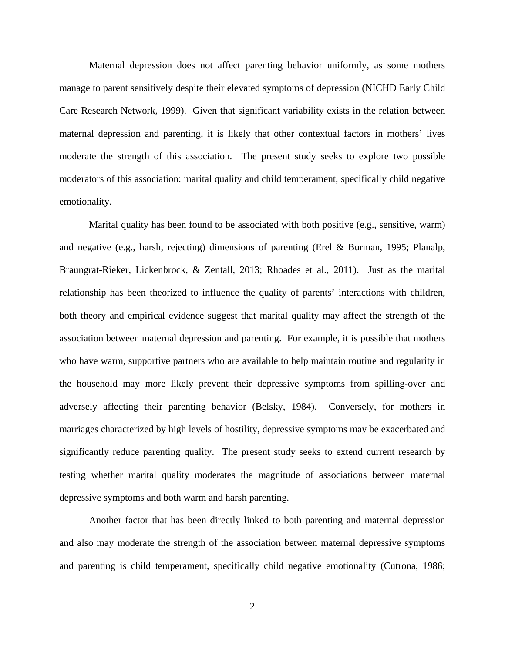Maternal depression does not affect parenting behavior uniformly, as some mothers manage to parent sensitively despite their elevated symptoms of depression (NICHD Early Child Care Research Network, 1999). Given that significant variability exists in the relation between maternal depression and parenting, it is likely that other contextual factors in mothers' lives moderate the strength of this association. The present study seeks to explore two possible moderators of this association: marital quality and child temperament, specifically child negative emotionality.

Marital quality has been found to be associated with both positive (e.g., sensitive, warm) and negative (e.g., harsh, rejecting) dimensions of parenting (Erel & Burman, 1995; Planalp, Braungrat-Rieker, Lickenbrock, & Zentall, 2013; Rhoades et al., 2011). Just as the marital relationship has been theorized to influence the quality of parents' interactions with children, both theory and empirical evidence suggest that marital quality may affect the strength of the association between maternal depression and parenting. For example, it is possible that mothers who have warm, supportive partners who are available to help maintain routine and regularity in the household may more likely prevent their depressive symptoms from spilling-over and adversely affecting their parenting behavior (Belsky, 1984). Conversely, for mothers in marriages characterized by high levels of hostility, depressive symptoms may be exacerbated and significantly reduce parenting quality. The present study seeks to extend current research by testing whether marital quality moderates the magnitude of associations between maternal depressive symptoms and both warm and harsh parenting.

Another factor that has been directly linked to both parenting and maternal depression and also may moderate the strength of the association between maternal depressive symptoms and parenting is child temperament, specifically child negative emotionality (Cutrona, 1986;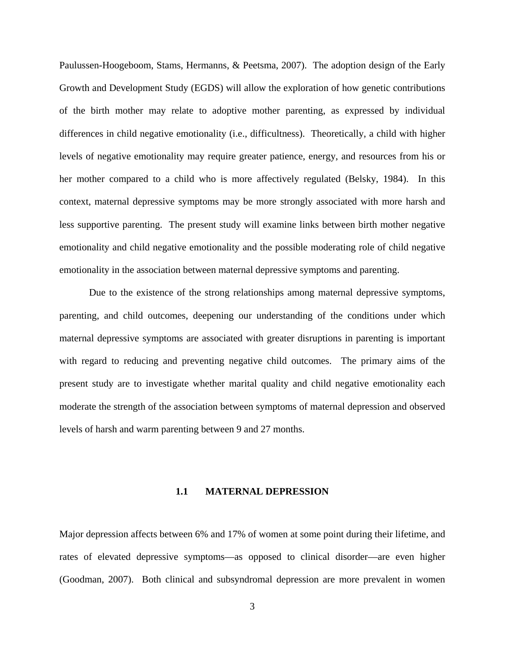Paulussen-Hoogeboom, Stams, Hermanns, & Peetsma, 2007). The adoption design of the Early Growth and Development Study (EGDS) will allow the exploration of how genetic contributions of the birth mother may relate to adoptive mother parenting, as expressed by individual differences in child negative emotionality (i.e., difficultness). Theoretically, a child with higher levels of negative emotionality may require greater patience, energy, and resources from his or her mother compared to a child who is more affectively regulated (Belsky, 1984). In this context, maternal depressive symptoms may be more strongly associated with more harsh and less supportive parenting. The present study will examine links between birth mother negative emotionality and child negative emotionality and the possible moderating role of child negative emotionality in the association between maternal depressive symptoms and parenting.

Due to the existence of the strong relationships among maternal depressive symptoms, parenting, and child outcomes, deepening our understanding of the conditions under which maternal depressive symptoms are associated with greater disruptions in parenting is important with regard to reducing and preventing negative child outcomes. The primary aims of the present study are to investigate whether marital quality and child negative emotionality each moderate the strength of the association between symptoms of maternal depression and observed levels of harsh and warm parenting between 9 and 27 months.

#### **1.1 MATERNAL DEPRESSION**

<span id="page-10-0"></span>Major depression affects between 6% and 17% of women at some point during their lifetime, and rates of elevated depressive symptoms—as opposed to clinical disorder—are even higher (Goodman, 2007). Both clinical and subsyndromal depression are more prevalent in women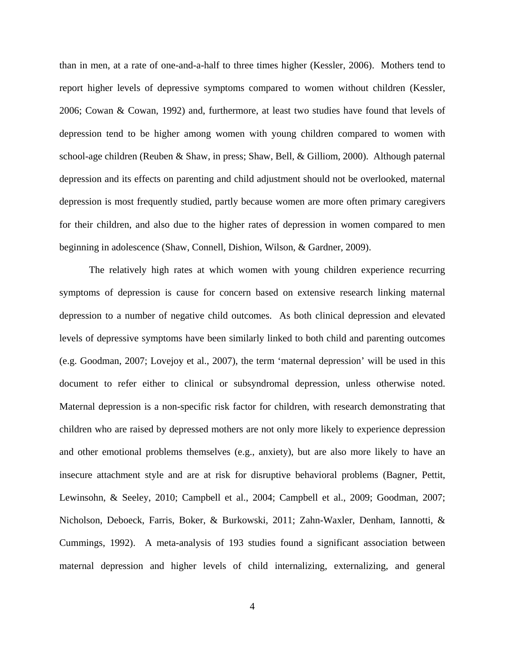than in men, at a rate of one-and-a-half to three times higher (Kessler, 2006). Mothers tend to report higher levels of depressive symptoms compared to women without children (Kessler, 2006; Cowan & Cowan, 1992) and, furthermore, at least two studies have found that levels of depression tend to be higher among women with young children compared to women with school-age children (Reuben & Shaw, in press; Shaw, Bell, & Gilliom, 2000). Although paternal depression and its effects on parenting and child adjustment should not be overlooked, maternal depression is most frequently studied, partly because women are more often primary caregivers for their children, and also due to the higher rates of depression in women compared to men beginning in adolescence (Shaw, Connell, Dishion, Wilson, & Gardner, 2009).

The relatively high rates at which women with young children experience recurring symptoms of depression is cause for concern based on extensive research linking maternal depression to a number of negative child outcomes. As both clinical depression and elevated levels of depressive symptoms have been similarly linked to both child and parenting outcomes (e.g. Goodman, 2007; Lovejoy et al., 2007), the term 'maternal depression' will be used in this document to refer either to clinical or subsyndromal depression, unless otherwise noted. Maternal depression is a non-specific risk factor for children, with research demonstrating that children who are raised by depressed mothers are not only more likely to experience depression and other emotional problems themselves (e.g., anxiety), but are also more likely to have an insecure attachment style and are at risk for disruptive behavioral problems (Bagner, Pettit, Lewinsohn, & Seeley, 2010; Campbell et al., 2004; Campbell et al., 2009; Goodman, 2007; Nicholson, Deboeck, Farris, Boker, & Burkowski, 2011; Zahn-Waxler, Denham, Iannotti, & Cummings, 1992). A meta-analysis of 193 studies found a significant association between maternal depression and higher levels of child internalizing, externalizing, and general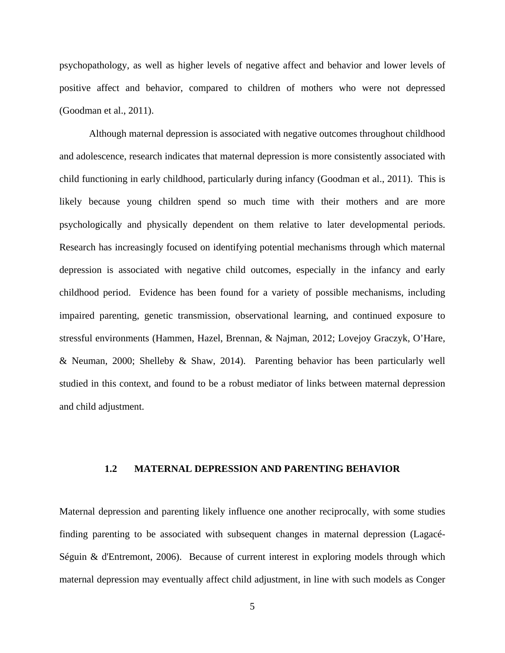psychopathology, as well as higher levels of negative affect and behavior and lower levels of positive affect and behavior, compared to children of mothers who were not depressed (Goodman et al., 2011).

Although maternal depression is associated with negative outcomes throughout childhood and adolescence, research indicates that maternal depression is more consistently associated with child functioning in early childhood, particularly during infancy (Goodman et al., 2011). This is likely because young children spend so much time with their mothers and are more psychologically and physically dependent on them relative to later developmental periods. Research has increasingly focused on identifying potential mechanisms through which maternal depression is associated with negative child outcomes, especially in the infancy and early childhood period. Evidence has been found for a variety of possible mechanisms, including impaired parenting, genetic transmission, observational learning, and continued exposure to stressful environments (Hammen, Hazel, Brennan, & Najman, 2012; Lovejoy Graczyk, O'Hare, & Neuman, 2000; Shelleby & Shaw, 2014). Parenting behavior has been particularly well studied in this context, and found to be a robust mediator of links between maternal depression and child adjustment.

#### <span id="page-12-0"></span>**1.2 MATERNAL DEPRESSION AND PARENTING BEHAVIOR**

Maternal depression and parenting likely influence one another reciprocally, with some studies finding parenting to be associated with subsequent changes in maternal depression (Lagacé-Séguin & d'Entremont, 2006). Because of current interest in exploring models through which maternal depression may eventually affect child adjustment, in line with such models as Conger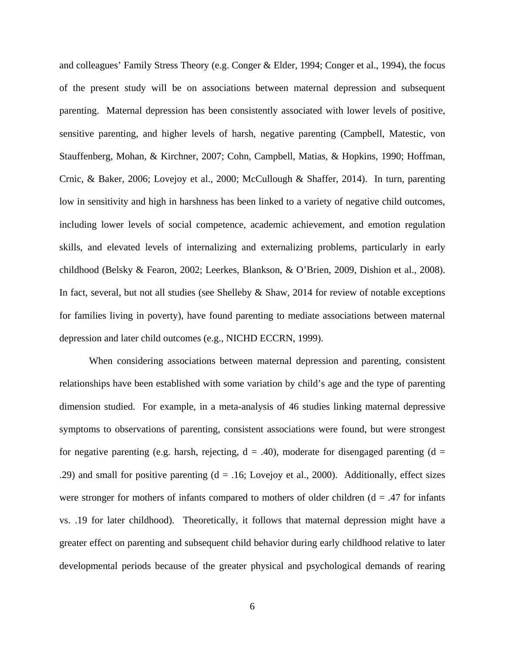and colleagues' Family Stress Theory (e.g. Conger & Elder, 1994; Conger et al., 1994), the focus of the present study will be on associations between maternal depression and subsequent parenting. Maternal depression has been consistently associated with lower levels of positive, sensitive parenting, and higher levels of harsh, negative parenting (Campbell, Matestic, von Stauffenberg, Mohan, & Kirchner, 2007; Cohn, Campbell, Matias, & Hopkins, 1990; Hoffman, Crnic, & Baker, 2006; Lovejoy et al., 2000; McCullough & Shaffer, 2014). In turn, parenting low in sensitivity and high in harshness has been linked to a variety of negative child outcomes, including lower levels of social competence, academic achievement, and emotion regulation skills, and elevated levels of internalizing and externalizing problems, particularly in early childhood (Belsky & Fearon, 2002; Leerkes, Blankson, & O'Brien, 2009, Dishion et al., 2008). In fact, several, but not all studies (see Shelleby  $\&$  Shaw, 2014 for review of notable exceptions for families living in poverty), have found parenting to mediate associations between maternal depression and later child outcomes (e.g., NICHD ECCRN, 1999).

When considering associations between maternal depression and parenting, consistent relationships have been established with some variation by child's age and the type of parenting dimension studied. For example, in a meta-analysis of 46 studies linking maternal depressive symptoms to observations of parenting, consistent associations were found, but were strongest for negative parenting (e.g. harsh, rejecting,  $d = .40$ ), moderate for disengaged parenting (d = .29) and small for positive parenting  $(d = .16;)$  Lovejoy et al., 2000). Additionally, effect sizes were stronger for mothers of infants compared to mothers of older children ( $d = .47$  for infants vs. .19 for later childhood). Theoretically, it follows that maternal depression might have a greater effect on parenting and subsequent child behavior during early childhood relative to later developmental periods because of the greater physical and psychological demands of rearing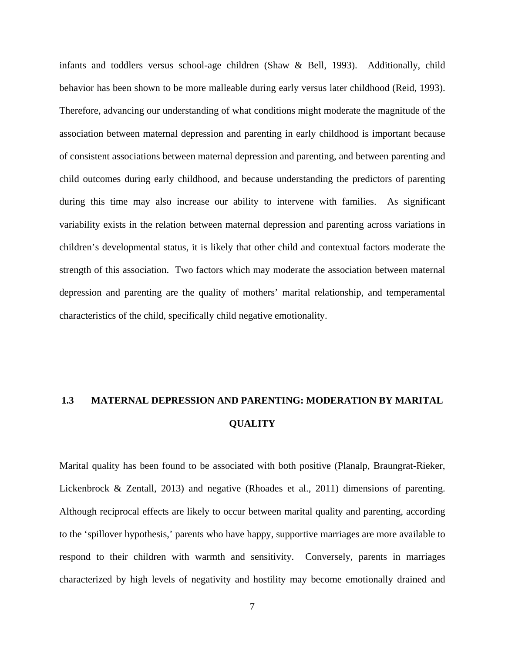infants and toddlers versus school-age children (Shaw & Bell, 1993). Additionally, child behavior has been shown to be more malleable during early versus later childhood (Reid, 1993). Therefore, advancing our understanding of what conditions might moderate the magnitude of the association between maternal depression and parenting in early childhood is important because of consistent associations between maternal depression and parenting, and between parenting and child outcomes during early childhood, and because understanding the predictors of parenting during this time may also increase our ability to intervene with families. As significant variability exists in the relation between maternal depression and parenting across variations in children's developmental status, it is likely that other child and contextual factors moderate the strength of this association. Two factors which may moderate the association between maternal depression and parenting are the quality of mothers' marital relationship, and temperamental characteristics of the child, specifically child negative emotionality.

# <span id="page-14-0"></span>**1.3 MATERNAL DEPRESSION AND PARENTING: MODERATION BY MARITAL QUALITY**

Marital quality has been found to be associated with both positive (Planalp, Braungrat-Rieker, Lickenbrock & Zentall, 2013) and negative (Rhoades et al., 2011) dimensions of parenting. Although reciprocal effects are likely to occur between marital quality and parenting, according to the 'spillover hypothesis,' parents who have happy, supportive marriages are more available to respond to their children with warmth and sensitivity. Conversely, parents in marriages characterized by high levels of negativity and hostility may become emotionally drained and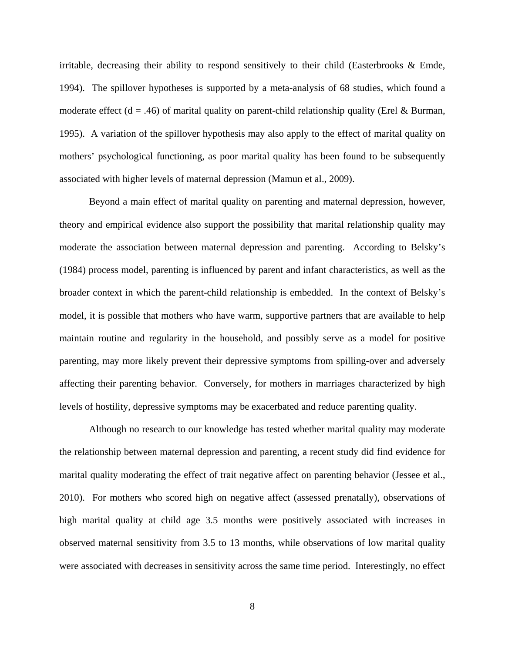irritable, decreasing their ability to respond sensitively to their child (Easterbrooks & Emde, 1994). The spillover hypotheses is supported by a meta-analysis of 68 studies, which found a moderate effect ( $d = .46$ ) of marital quality on parent-child relationship quality (Erel & Burman, 1995). A variation of the spillover hypothesis may also apply to the effect of marital quality on mothers' psychological functioning, as poor marital quality has been found to be subsequently associated with higher levels of maternal depression (Mamun et al., 2009).

Beyond a main effect of marital quality on parenting and maternal depression, however, theory and empirical evidence also support the possibility that marital relationship quality may moderate the association between maternal depression and parenting. According to Belsky's (1984) process model, parenting is influenced by parent and infant characteristics, as well as the broader context in which the parent-child relationship is embedded. In the context of Belsky's model, it is possible that mothers who have warm, supportive partners that are available to help maintain routine and regularity in the household, and possibly serve as a model for positive parenting, may more likely prevent their depressive symptoms from spilling-over and adversely affecting their parenting behavior. Conversely, for mothers in marriages characterized by high levels of hostility, depressive symptoms may be exacerbated and reduce parenting quality.

Although no research to our knowledge has tested whether marital quality may moderate the relationship between maternal depression and parenting, a recent study did find evidence for marital quality moderating the effect of trait negative affect on parenting behavior (Jessee et al., 2010). For mothers who scored high on negative affect (assessed prenatally), observations of high marital quality at child age 3.5 months were positively associated with increases in observed maternal sensitivity from 3.5 to 13 months, while observations of low marital quality were associated with decreases in sensitivity across the same time period. Interestingly, no effect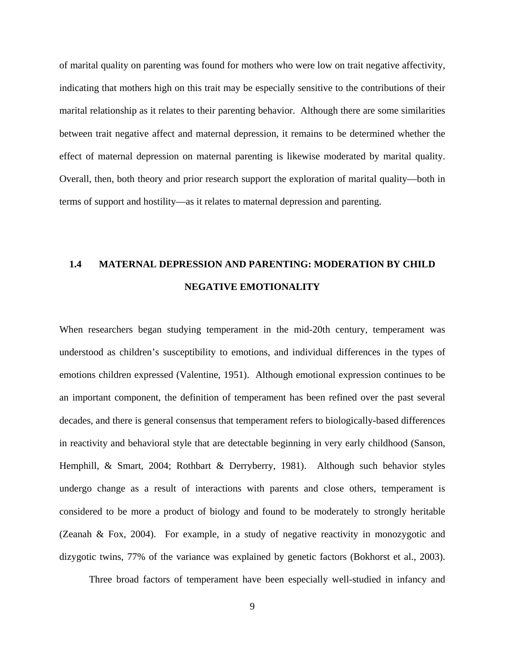of marital quality on parenting was found for mothers who were low on trait negative affectivity, indicating that mothers high on this trait may be especially sensitive to the contributions of their marital relationship as it relates to their parenting behavior. Although there are some similarities between trait negative affect and maternal depression, it remains to be determined whether the effect of maternal depression on maternal parenting is likewise moderated by marital quality. Overall, then, both theory and prior research support the exploration of marital quality—both in terms of support and hostility—as it relates to maternal depression and parenting.

# <span id="page-16-0"></span>**1.4 MATERNAL DEPRESSION AND PARENTING: MODERATION BY CHILD NEGATIVE EMOTIONALITY**

When researchers began studying temperament in the mid-20th century, temperament was understood as children's susceptibility to emotions, and individual differences in the types of emotions children expressed (Valentine, 1951). Although emotional expression continues to be an important component, the definition of temperament has been refined over the past several decades, and there is general consensus that temperament refers to biologically-based differences in reactivity and behavioral style that are detectable beginning in very early childhood (Sanson, Hemphill, & Smart, 2004; Rothbart & Derryberry, 1981). Although such behavior styles undergo change as a result of interactions with parents and close others, temperament is considered to be more a product of biology and found to be moderately to strongly heritable (Zeanah & Fox, 2004). For example, in a study of negative reactivity in monozygotic and dizygotic twins, 77% of the variance was explained by genetic factors (Bokhorst et al., 2003).

Three broad factors of temperament have been especially well-studied in infancy and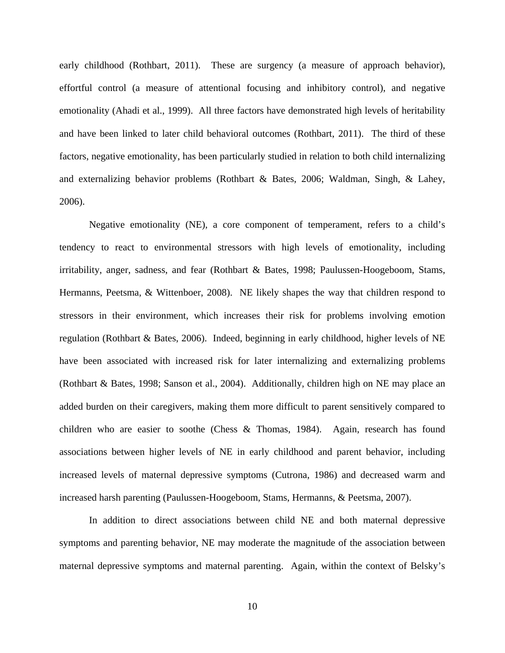early childhood (Rothbart, 2011). These are surgency (a measure of approach behavior), effortful control (a measure of attentional focusing and inhibitory control), and negative emotionality (Ahadi et al., 1999). All three factors have demonstrated high levels of heritability and have been linked to later child behavioral outcomes (Rothbart, 2011). The third of these factors, negative emotionality, has been particularly studied in relation to both child internalizing and externalizing behavior problems (Rothbart & Bates, 2006; Waldman, Singh, & Lahey, 2006).

Negative emotionality (NE), a core component of temperament, refers to a child's tendency to react to environmental stressors with high levels of emotionality, including irritability, anger, sadness, and fear (Rothbart & Bates, 1998; Paulussen-Hoogeboom, Stams, Hermanns, Peetsma, & Wittenboer, 2008). NE likely shapes the way that children respond to stressors in their environment, which increases their risk for problems involving emotion regulation (Rothbart & Bates, 2006). Indeed, beginning in early childhood, higher levels of NE have been associated with increased risk for later internalizing and externalizing problems (Rothbart & Bates, 1998; Sanson et al., 2004). Additionally, children high on NE may place an added burden on their caregivers, making them more difficult to parent sensitively compared to children who are easier to soothe (Chess & Thomas, 1984). Again, research has found associations between higher levels of NE in early childhood and parent behavior, including increased levels of maternal depressive symptoms (Cutrona, 1986) and decreased warm and increased harsh parenting (Paulussen-Hoogeboom, Stams, Hermanns, & Peetsma, 2007).

In addition to direct associations between child NE and both maternal depressive symptoms and parenting behavior, NE may moderate the magnitude of the association between maternal depressive symptoms and maternal parenting. Again, within the context of Belsky's

10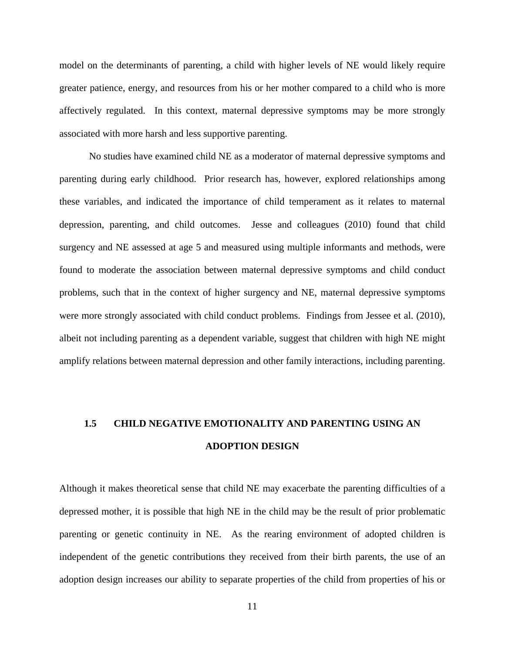model on the determinants of parenting, a child with higher levels of NE would likely require greater patience, energy, and resources from his or her mother compared to a child who is more affectively regulated. In this context, maternal depressive symptoms may be more strongly associated with more harsh and less supportive parenting.

No studies have examined child NE as a moderator of maternal depressive symptoms and parenting during early childhood. Prior research has, however, explored relationships among these variables, and indicated the importance of child temperament as it relates to maternal depression, parenting, and child outcomes. Jesse and colleagues (2010) found that child surgency and NE assessed at age 5 and measured using multiple informants and methods, were found to moderate the association between maternal depressive symptoms and child conduct problems, such that in the context of higher surgency and NE, maternal depressive symptoms were more strongly associated with child conduct problems. Findings from Jessee et al. (2010), albeit not including parenting as a dependent variable, suggest that children with high NE might amplify relations between maternal depression and other family interactions, including parenting.

# <span id="page-18-0"></span>**1.5 CHILD NEGATIVE EMOTIONALITY AND PARENTING USING AN ADOPTION DESIGN**

Although it makes theoretical sense that child NE may exacerbate the parenting difficulties of a depressed mother, it is possible that high NE in the child may be the result of prior problematic parenting or genetic continuity in NE. As the rearing environment of adopted children is independent of the genetic contributions they received from their birth parents, the use of an adoption design increases our ability to separate properties of the child from properties of his or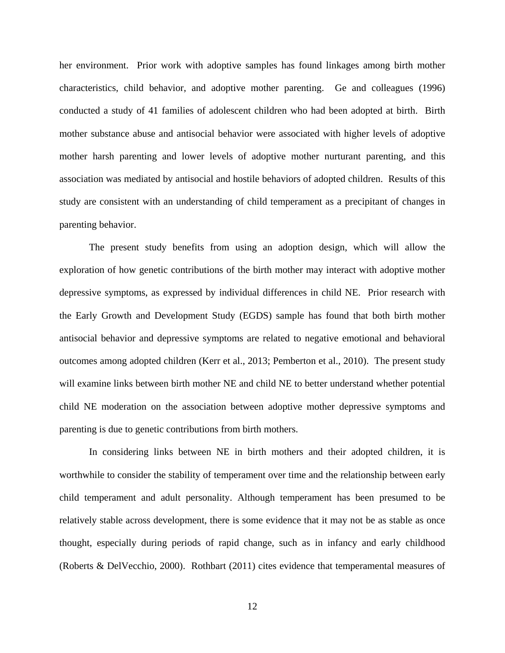her environment. Prior work with adoptive samples has found linkages among birth mother characteristics, child behavior, and adoptive mother parenting. Ge and colleagues (1996) conducted a study of 41 families of adolescent children who had been adopted at birth. Birth mother substance abuse and antisocial behavior were associated with higher levels of adoptive mother harsh parenting and lower levels of adoptive mother nurturant parenting, and this association was mediated by antisocial and hostile behaviors of adopted children. Results of this study are consistent with an understanding of child temperament as a precipitant of changes in parenting behavior.

The present study benefits from using an adoption design, which will allow the exploration of how genetic contributions of the birth mother may interact with adoptive mother depressive symptoms, as expressed by individual differences in child NE. Prior research with the Early Growth and Development Study (EGDS) sample has found that both birth mother antisocial behavior and depressive symptoms are related to negative emotional and behavioral outcomes among adopted children (Kerr et al., 2013; Pemberton et al., 2010). The present study will examine links between birth mother NE and child NE to better understand whether potential child NE moderation on the association between adoptive mother depressive symptoms and parenting is due to genetic contributions from birth mothers.

In considering links between NE in birth mothers and their adopted children, it is worthwhile to consider the stability of temperament over time and the relationship between early child temperament and adult personality. Although temperament has been presumed to be relatively stable across development, there is some evidence that it may not be as stable as once thought, especially during periods of rapid change, such as in infancy and early childhood (Roberts & DelVecchio, 2000). Rothbart (2011) cites evidence that temperamental measures of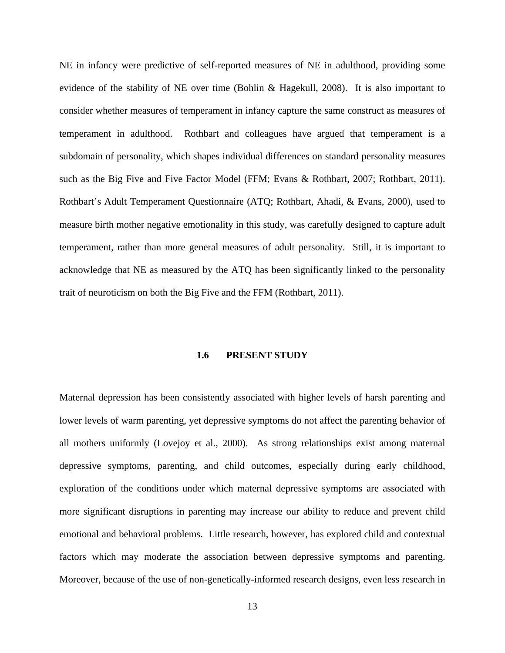NE in infancy were predictive of self-reported measures of NE in adulthood, providing some evidence of the stability of NE over time (Bohlin & Hagekull, 2008). It is also important to consider whether measures of temperament in infancy capture the same construct as measures of temperament in adulthood. Rothbart and colleagues have argued that temperament is a subdomain of personality, which shapes individual differences on standard personality measures such as the Big Five and Five Factor Model (FFM; Evans & Rothbart, 2007; Rothbart, 2011). Rothbart's Adult Temperament Questionnaire (ATQ; Rothbart, Ahadi, & Evans, 2000), used to measure birth mother negative emotionality in this study, was carefully designed to capture adult temperament, rather than more general measures of adult personality. Still, it is important to acknowledge that NE as measured by the ATQ has been significantly linked to the personality trait of neuroticism on both the Big Five and the FFM (Rothbart, 2011).

#### **1.6 PRESENT STUDY**

<span id="page-20-0"></span>Maternal depression has been consistently associated with higher levels of harsh parenting and lower levels of warm parenting, yet depressive symptoms do not affect the parenting behavior of all mothers uniformly (Lovejoy et al., 2000). As strong relationships exist among maternal depressive symptoms, parenting, and child outcomes, especially during early childhood, exploration of the conditions under which maternal depressive symptoms are associated with more significant disruptions in parenting may increase our ability to reduce and prevent child emotional and behavioral problems. Little research, however, has explored child and contextual factors which may moderate the association between depressive symptoms and parenting. Moreover, because of the use of non-genetically-informed research designs, even less research in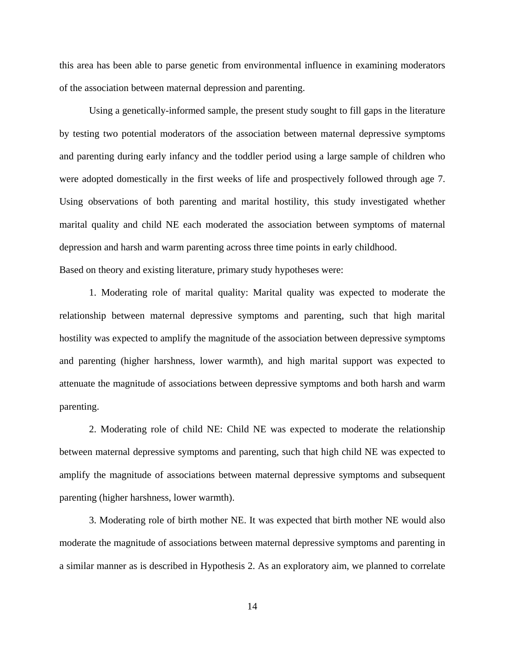this area has been able to parse genetic from environmental influence in examining moderators of the association between maternal depression and parenting.

Using a genetically-informed sample, the present study sought to fill gaps in the literature by testing two potential moderators of the association between maternal depressive symptoms and parenting during early infancy and the toddler period using a large sample of children who were adopted domestically in the first weeks of life and prospectively followed through age 7. Using observations of both parenting and marital hostility, this study investigated whether marital quality and child NE each moderated the association between symptoms of maternal depression and harsh and warm parenting across three time points in early childhood. Based on theory and existing literature, primary study hypotheses were:

1. Moderating role of marital quality: Marital quality was expected to moderate the relationship between maternal depressive symptoms and parenting, such that high marital hostility was expected to amplify the magnitude of the association between depressive symptoms and parenting (higher harshness, lower warmth), and high marital support was expected to attenuate the magnitude of associations between depressive symptoms and both harsh and warm parenting.

2. Moderating role of child NE: Child NE was expected to moderate the relationship between maternal depressive symptoms and parenting, such that high child NE was expected to amplify the magnitude of associations between maternal depressive symptoms and subsequent parenting (higher harshness, lower warmth).

3. Moderating role of birth mother NE. It was expected that birth mother NE would also moderate the magnitude of associations between maternal depressive symptoms and parenting in a similar manner as is described in Hypothesis 2. As an exploratory aim, we planned to correlate

14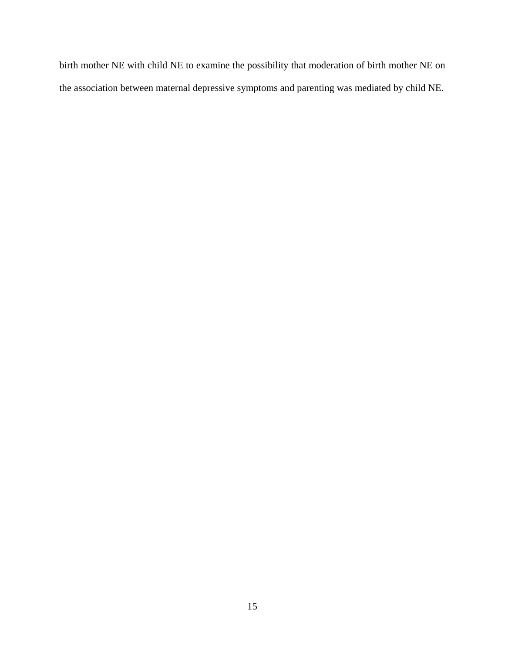birth mother NE with child NE to examine the possibility that moderation of birth mother NE on the association between maternal depressive symptoms and parenting was mediated by child NE.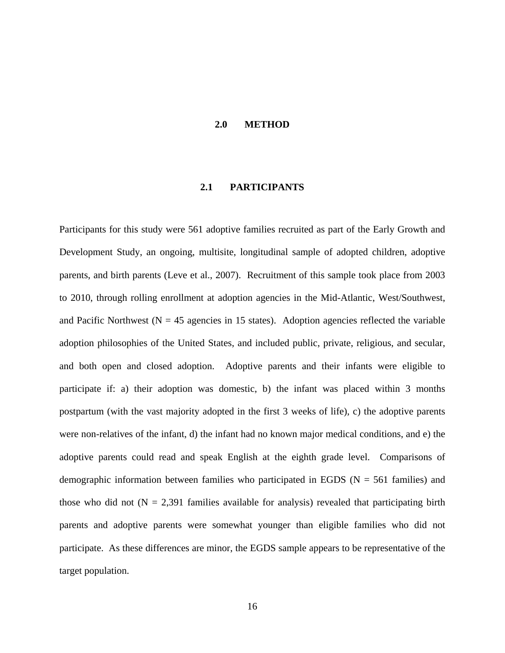#### **2.0 METHOD**

#### **2.1 PARTICIPANTS**

<span id="page-23-1"></span><span id="page-23-0"></span>Participants for this study were 561 adoptive families recruited as part of the Early Growth and Development Study, an ongoing, multisite, longitudinal sample of adopted children, adoptive parents, and birth parents (Leve et al., 2007). Recruitment of this sample took place from 2003 to 2010, through rolling enrollment at adoption agencies in the Mid-Atlantic, West/Southwest, and Pacific Northwest ( $N = 45$  agencies in 15 states). Adoption agencies reflected the variable adoption philosophies of the United States, and included public, private, religious, and secular, and both open and closed adoption. Adoptive parents and their infants were eligible to participate if: a) their adoption was domestic, b) the infant was placed within 3 months postpartum (with the vast majority adopted in the first 3 weeks of life), c) the adoptive parents were non-relatives of the infant, d) the infant had no known major medical conditions, and e) the adoptive parents could read and speak English at the eighth grade level. Comparisons of demographic information between families who participated in EGDS ( $N = 561$  families) and those who did not  $(N = 2,391)$  families available for analysis) revealed that participating birth parents and adoptive parents were somewhat younger than eligible families who did not participate. As these differences are minor, the EGDS sample appears to be representative of the target population.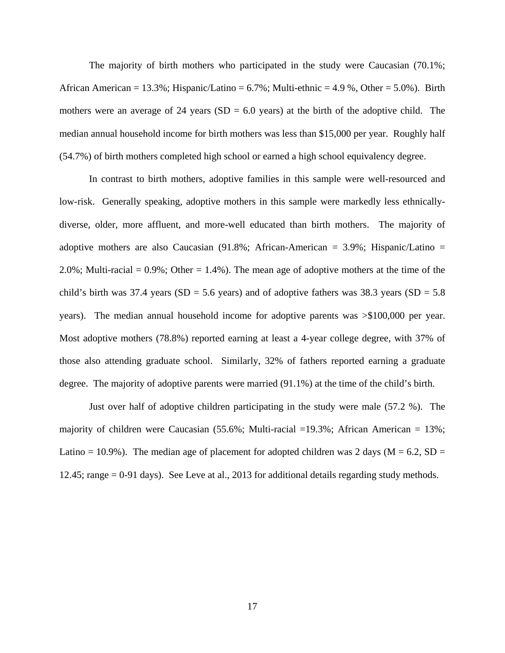The majority of birth mothers who participated in the study were Caucasian (70.1%; African American = 13.3%; Hispanic/Latino =  $6.7\%$ ; Multi-ethnic = 4.9 %, Other =  $5.0\%$ ). Birth mothers were an average of 24 years ( $SD = 6.0$  years) at the birth of the adoptive child. The median annual household income for birth mothers was less than \$15,000 per year. Roughly half (54.7%) of birth mothers completed high school or earned a high school equivalency degree.

In contrast to birth mothers, adoptive families in this sample were well-resourced and low-risk. Generally speaking, adoptive mothers in this sample were markedly less ethnicallydiverse, older, more affluent, and more-well educated than birth mothers. The majority of adoptive mothers are also Caucasian (91.8%; African-American = 3.9%; Hispanic/Latino = 2.0%; Multi-racial =  $0.9\%$ ; Other = 1.4%). The mean age of adoptive mothers at the time of the child's birth was 37.4 years (SD = 5.6 years) and of adoptive fathers was 38.3 years (SD = 5.8 years). The median annual household income for adoptive parents was >\$100,000 per year. Most adoptive mothers (78.8%) reported earning at least a 4-year college degree, with 37% of those also attending graduate school. Similarly, 32% of fathers reported earning a graduate degree. The majority of adoptive parents were married (91.1%) at the time of the child's birth.

Just over half of adoptive children participating in the study were male (57.2 %). The majority of children were Caucasian  $(55.6\%; \text{Multi-racial } = 19.3\%; \text{ African American } = 13\%;$ Latino = 10.9%). The median age of placement for adopted children was 2 days ( $M = 6.2$ , SD = 12.45; range = 0-91 days). See Leve at al., 2013 for additional details regarding study methods.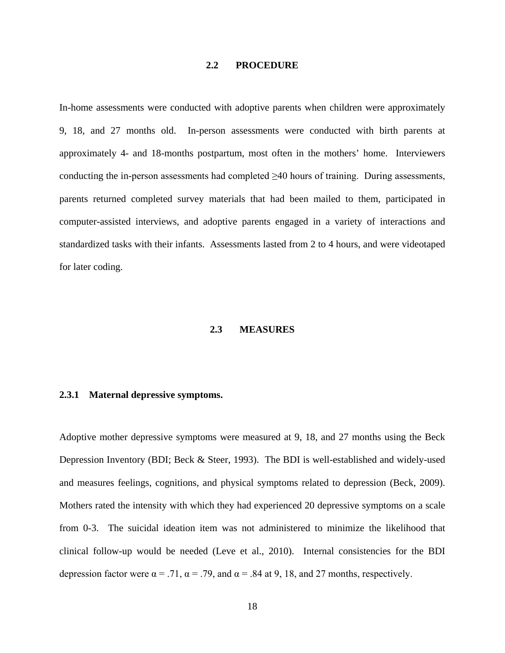#### **2.2 PROCEDURE**

<span id="page-25-0"></span>In-home assessments were conducted with adoptive parents when children were approximately 9, 18, and 27 months old. In-person assessments were conducted with birth parents at approximately 4- and 18-months postpartum, most often in the mothers' home. Interviewers conducting the in-person assessments had completed  $\geq 40$  hours of training. During assessments, parents returned completed survey materials that had been mailed to them, participated in computer-assisted interviews, and adoptive parents engaged in a variety of interactions and standardized tasks with their infants. Assessments lasted from 2 to 4 hours, and were videotaped for later coding.

#### **2.3 MEASURES**

#### <span id="page-25-2"></span><span id="page-25-1"></span>**2.3.1 Maternal depressive symptoms.**

Adoptive mother depressive symptoms were measured at 9, 18, and 27 months using the Beck Depression Inventory (BDI; Beck & Steer, 1993). The BDI is well-established and widely-used and measures feelings, cognitions, and physical symptoms related to depression (Beck, 2009). Mothers rated the intensity with which they had experienced 20 depressive symptoms on a scale from 0-3. The suicidal ideation item was not administered to minimize the likelihood that clinical follow-up would be needed (Leve et al., 2010). Internal consistencies for the BDI depression factor were  $\alpha = .71$ ,  $\alpha = .79$ , and  $\alpha = .84$  at 9, 18, and 27 months, respectively.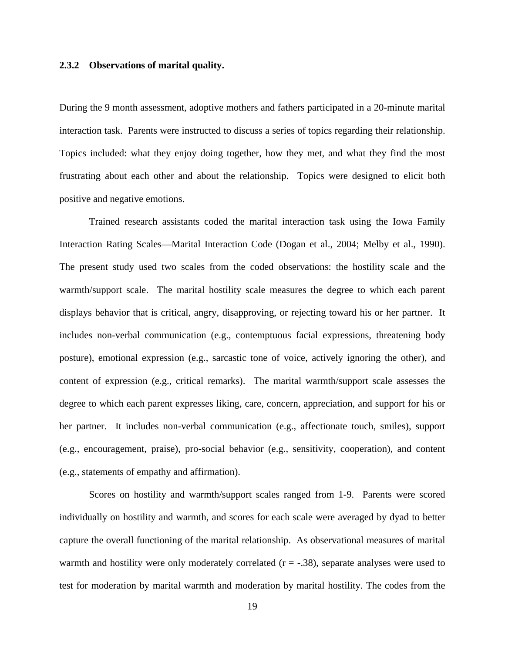#### <span id="page-26-0"></span>**2.3.2 Observations of marital quality.**

During the 9 month assessment, adoptive mothers and fathers participated in a 20-minute marital interaction task. Parents were instructed to discuss a series of topics regarding their relationship. Topics included: what they enjoy doing together, how they met, and what they find the most frustrating about each other and about the relationship. Topics were designed to elicit both positive and negative emotions.

Trained research assistants coded the marital interaction task using the Iowa Family Interaction Rating Scales—Marital Interaction Code (Dogan et al., 2004; Melby et al., 1990). The present study used two scales from the coded observations: the hostility scale and the warmth/support scale. The marital hostility scale measures the degree to which each parent displays behavior that is critical, angry, disapproving, or rejecting toward his or her partner. It includes non-verbal communication (e.g., contemptuous facial expressions, threatening body posture), emotional expression (e.g., sarcastic tone of voice, actively ignoring the other), and content of expression (e.g., critical remarks). The marital warmth/support scale assesses the degree to which each parent expresses liking, care, concern, appreciation, and support for his or her partner. It includes non-verbal communication (e.g., affectionate touch, smiles), support (e.g., encouragement, praise), pro-social behavior (e.g., sensitivity, cooperation), and content (e.g., statements of empathy and affirmation).

Scores on hostility and warmth/support scales ranged from 1-9. Parents were scored individually on hostility and warmth, and scores for each scale were averaged by dyad to better capture the overall functioning of the marital relationship. As observational measures of marital warmth and hostility were only moderately correlated  $(r = -.38)$ , separate analyses were used to test for moderation by marital warmth and moderation by marital hostility. The codes from the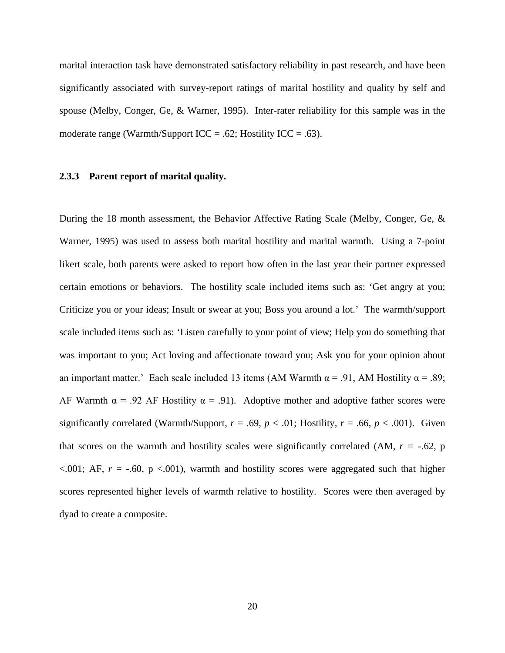marital interaction task have demonstrated satisfactory reliability in past research, and have been significantly associated with survey-report ratings of marital hostility and quality by self and spouse (Melby, Conger, Ge, & Warner, 1995). Inter-rater reliability for this sample was in the moderate range (Warmth/Support ICC = .62; Hostility ICC = .63).

#### <span id="page-27-0"></span>**2.3.3 Parent report of marital quality.**

During the 18 month assessment, the Behavior Affective Rating Scale (Melby, Conger, Ge, & Warner, 1995) was used to assess both marital hostility and marital warmth. Using a 7-point likert scale, both parents were asked to report how often in the last year their partner expressed certain emotions or behaviors. The hostility scale included items such as: 'Get angry at you; Criticize you or your ideas; Insult or swear at you; Boss you around a lot.' The warmth/support scale included items such as: 'Listen carefully to your point of view; Help you do something that was important to you; Act loving and affectionate toward you; Ask you for your opinion about an important matter.' Each scale included 13 items (AM Warmth  $\alpha$  = .91, AM Hostility  $\alpha$  = .89; AF Warmth  $\alpha$  = .92 AF Hostility  $\alpha$  = .91). Adoptive mother and adoptive father scores were significantly correlated (Warmth/Support,  $r = .69$ ,  $p < .01$ ; Hostility,  $r = .66$ ,  $p < .001$ ). Given that scores on the warmth and hostility scales were significantly correlated  $(AM, r = -.62, p)$  $< .001$ ; AF,  $r = -.60$ ,  $p < .001$ ), warmth and hostility scores were aggregated such that higher scores represented higher levels of warmth relative to hostility. Scores were then averaged by dyad to create a composite.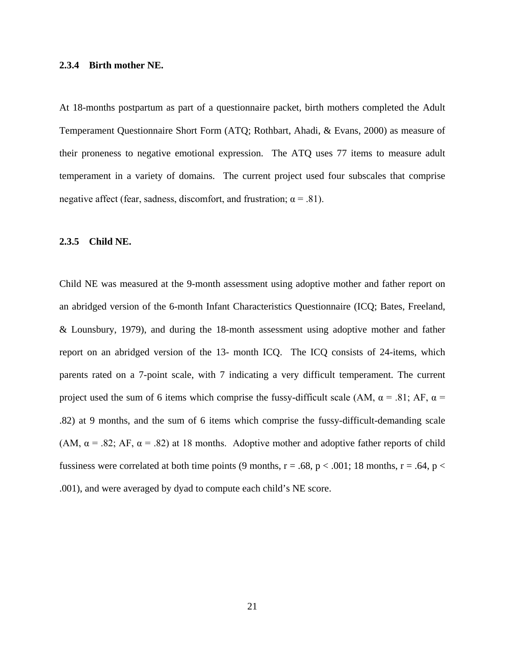#### <span id="page-28-0"></span>**2.3.4 Birth mother NE.**

At 18-months postpartum as part of a questionnaire packet, birth mothers completed the Adult Temperament Questionnaire Short Form (ATQ; Rothbart, Ahadi, & Evans, 2000) as measure of their proneness to negative emotional expression. The ATQ uses 77 items to measure adult temperament in a variety of domains. The current project used four subscales that comprise negative affect (fear, sadness, discomfort, and frustration;  $\alpha = .81$ ).

#### <span id="page-28-1"></span>**2.3.5 Child NE.**

Child NE was measured at the 9-month assessment using adoptive mother and father report on an abridged version of the 6-month Infant Characteristics Questionnaire (ICQ; Bates, Freeland, & Lounsbury, 1979), and during the 18-month assessment using adoptive mother and father report on an abridged version of the 13- month ICQ. The ICQ consists of 24-items, which parents rated on a 7-point scale, with 7 indicating a very difficult temperament. The current project used the sum of 6 items which comprise the fussy-difficult scale (AM,  $\alpha$  = .81; AF,  $\alpha$  = .82) at 9 months, and the sum of 6 items which comprise the fussy-difficult-demanding scale (AM,  $\alpha$  = .82; AF,  $\alpha$  = .82) at 18 months. Adoptive mother and adoptive father reports of child fussiness were correlated at both time points (9 months,  $r = .68$ ,  $p < .001$ ; 18 months,  $r = .64$ ,  $p <$ .001), and were averaged by dyad to compute each child's NE score.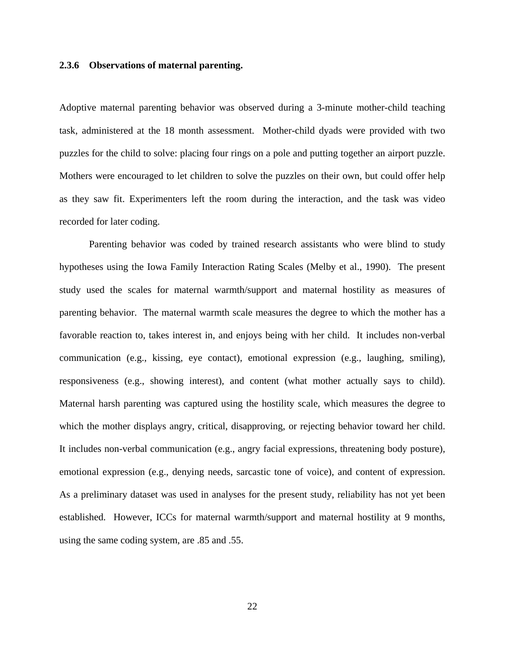#### <span id="page-29-0"></span>**2.3.6 Observations of maternal parenting.**

Adoptive maternal parenting behavior was observed during a 3-minute mother-child teaching task, administered at the 18 month assessment. Mother-child dyads were provided with two puzzles for the child to solve: placing four rings on a pole and putting together an airport puzzle. Mothers were encouraged to let children to solve the puzzles on their own, but could offer help as they saw fit. Experimenters left the room during the interaction, and the task was video recorded for later coding.

Parenting behavior was coded by trained research assistants who were blind to study hypotheses using the Iowa Family Interaction Rating Scales (Melby et al., 1990). The present study used the scales for maternal warmth/support and maternal hostility as measures of parenting behavior. The maternal warmth scale measures the degree to which the mother has a favorable reaction to, takes interest in, and enjoys being with her child. It includes non-verbal communication (e.g., kissing, eye contact), emotional expression (e.g., laughing, smiling), responsiveness (e.g., showing interest), and content (what mother actually says to child). Maternal harsh parenting was captured using the hostility scale, which measures the degree to which the mother displays angry, critical, disapproving, or rejecting behavior toward her child. It includes non-verbal communication (e.g., angry facial expressions, threatening body posture), emotional expression (e.g., denying needs, sarcastic tone of voice), and content of expression. As a preliminary dataset was used in analyses for the present study, reliability has not yet been established. However, ICCs for maternal warmth/support and maternal hostility at 9 months, using the same coding system, are .85 and .55.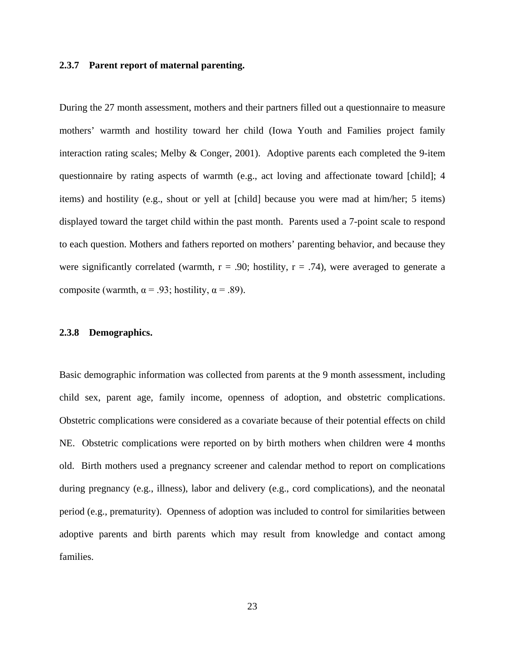#### <span id="page-30-0"></span>**2.3.7 Parent report of maternal parenting.**

During the 27 month assessment, mothers and their partners filled out a questionnaire to measure mothers' warmth and hostility toward her child (Iowa Youth and Families project family interaction rating scales; Melby & Conger, 2001). Adoptive parents each completed the 9-item questionnaire by rating aspects of warmth (e.g., act loving and affectionate toward [child]; 4 items) and hostility (e.g., shout or yell at [child] because you were mad at him/her; 5 items) displayed toward the target child within the past month. Parents used a 7-point scale to respond to each question. Mothers and fathers reported on mothers' parenting behavior, and because they were significantly correlated (warmth,  $r = .90$ ; hostility,  $r = .74$ ), were averaged to generate a composite (warmth,  $\alpha$  = .93; hostility,  $\alpha$  = .89).

#### <span id="page-30-1"></span>**2.3.8 Demographics.**

Basic demographic information was collected from parents at the 9 month assessment, including child sex, parent age, family income, openness of adoption, and obstetric complications. Obstetric complications were considered as a covariate because of their potential effects on child NE. Obstetric complications were reported on by birth mothers when children were 4 months old. Birth mothers used a pregnancy screener and calendar method to report on complications during pregnancy (e.g., illness), labor and delivery (e.g., cord complications), and the neonatal period (e.g., prematurity). Openness of adoption was included to control for similarities between adoptive parents and birth parents which may result from knowledge and contact among families.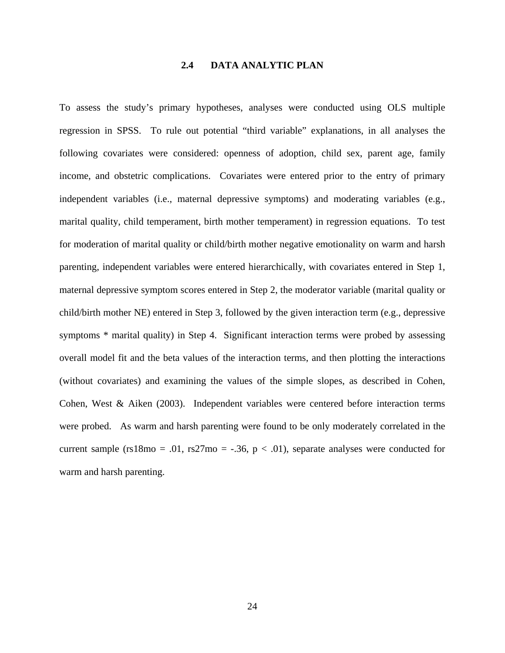### **2.4 DATA ANALYTIC PLAN**

<span id="page-31-0"></span>To assess the study's primary hypotheses, analyses were conducted using OLS multiple regression in SPSS. To rule out potential "third variable" explanations, in all analyses the following covariates were considered: openness of adoption, child sex, parent age, family income, and obstetric complications. Covariates were entered prior to the entry of primary independent variables (i.e., maternal depressive symptoms) and moderating variables (e.g., marital quality, child temperament, birth mother temperament) in regression equations. To test for moderation of marital quality or child/birth mother negative emotionality on warm and harsh parenting, independent variables were entered hierarchically, with covariates entered in Step 1, maternal depressive symptom scores entered in Step 2, the moderator variable (marital quality or child/birth mother NE) entered in Step 3, followed by the given interaction term (e.g., depressive symptoms \* marital quality) in Step 4. Significant interaction terms were probed by assessing overall model fit and the beta values of the interaction terms, and then plotting the interactions (without covariates) and examining the values of the simple slopes, as described in Cohen, Cohen, West & Aiken (2003). Independent variables were centered before interaction terms were probed. As warm and harsh parenting were found to be only moderately correlated in the current sample (rs18mo = .01, rs27mo = -.36,  $p < .01$ ), separate analyses were conducted for warm and harsh parenting.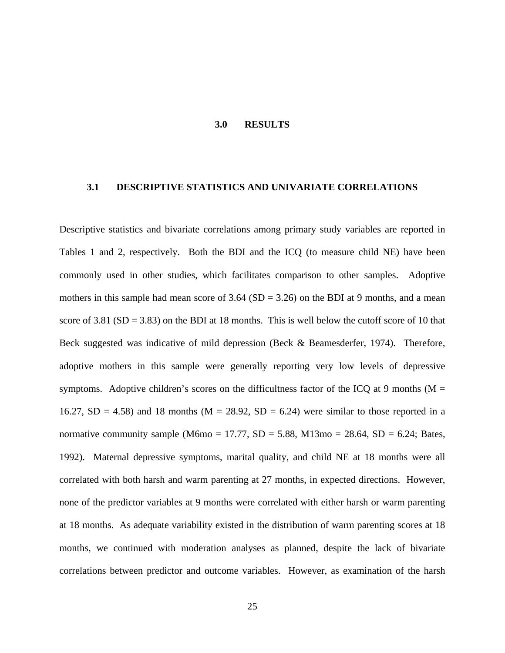#### **3.0 RESULTS**

#### <span id="page-32-1"></span><span id="page-32-0"></span>**3.1 DESCRIPTIVE STATISTICS AND UNIVARIATE CORRELATIONS**

Descriptive statistics and bivariate correlations among primary study variables are reported in Tables 1 and 2, respectively. Both the BDI and the ICQ (to measure child NE) have been commonly used in other studies, which facilitates comparison to other samples. Adoptive mothers in this sample had mean score of  $3.64$  (SD =  $3.26$ ) on the BDI at 9 months, and a mean score of 3.81 ( $SD = 3.83$ ) on the BDI at 18 months. This is well below the cutoff score of 10 that Beck suggested was indicative of mild depression (Beck & Beamesderfer, 1974). Therefore, adoptive mothers in this sample were generally reporting very low levels of depressive symptoms. Adoptive children's scores on the difficultness factor of the ICQ at 9 months ( $M =$ 16.27, SD = 4.58) and 18 months ( $M = 28.92$ , SD = 6.24) were similar to those reported in a normative community sample (M6mo = 17.77, SD = 5.88, M13mo = 28.64, SD = 6.24; Bates, 1992). Maternal depressive symptoms, marital quality, and child NE at 18 months were all correlated with both harsh and warm parenting at 27 months, in expected directions. However, none of the predictor variables at 9 months were correlated with either harsh or warm parenting at 18 months. As adequate variability existed in the distribution of warm parenting scores at 18 months, we continued with moderation analyses as planned, despite the lack of bivariate correlations between predictor and outcome variables. However, as examination of the harsh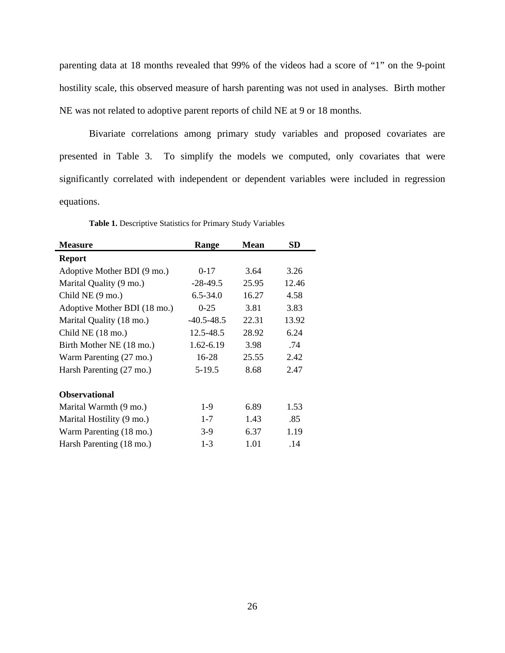parenting data at 18 months revealed that 99% of the videos had a score of "1" on the 9-point hostility scale, this observed measure of harsh parenting was not used in analyses. Birth mother NE was not related to adoptive parent reports of child NE at 9 or 18 months.

Bivariate correlations among primary study variables and proposed covariates are presented in Table 3. To simplify the models we computed, only covariates that were significantly correlated with independent or dependent variables were included in regression equations.

<span id="page-33-0"></span>

| <b>Measure</b>               | Range          | <b>Mean</b> | SD    |
|------------------------------|----------------|-------------|-------|
| <b>Report</b>                |                |             |       |
| Adoptive Mother BDI (9 mo.)  | $0-17$         | 3.64        | 3.26  |
| Marital Quality (9 mo.)      | $-28-49.5$     | 25.95       | 12.46 |
| Child NE (9 mo.)             | $6.5 - 34.0$   | 16.27       | 4.58  |
| Adoptive Mother BDI (18 mo.) | $0-25$         | 3.81        | 3.83  |
| Marital Quality (18 mo.)     | $-40.5 - 48.5$ | 22.31       | 13.92 |
| Child NE (18 mo.)            | 12.5-48.5      | 28.92       | 6.24  |
| Birth Mother NE (18 mo.)     | 1.62-6.19      | 3.98        | .74   |
| Warm Parenting (27 mo.)      | 16-28          | 25.55       | 2.42  |
| Harsh Parenting (27 mo.)     | $5-19.5$       | 8.68        | 2.47  |
| <b>Observational</b>         |                |             |       |
| Marital Warmth (9 mo.)       | $1-9$          | 6.89        | 1.53  |
| Marital Hostility (9 mo.)    | $1 - 7$        | 1.43        | .85   |
| Warm Parenting (18 mo.)      | $3-9$          | 6.37        | 1.19  |
| Harsh Parenting (18 mo.)     | $1-3$          | 1.01        | .14   |

**Table 1.** Descriptive Statistics for Primary Study Variables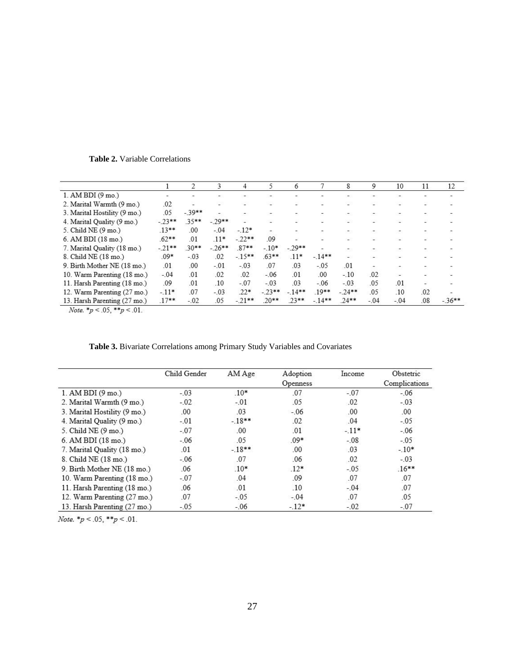|                              |         | 2       | 3       | 4       | 5        | 6        |          | 8       | 9      | 10                       | 11  | 12                       |
|------------------------------|---------|---------|---------|---------|----------|----------|----------|---------|--------|--------------------------|-----|--------------------------|
| 1. AM BDI(9 mo.)             | -       | ÷       | -       | -       |          |          |          | -       |        |                          | -   |                          |
| 2. Marital Warmth (9 mo.)    | .02     | $\sim$  |         |         |          |          |          |         |        |                          |     |                          |
| 3. Marital Hostility (9 mo.) | .05     | $-39**$ |         | -       |          | ÷.       |          | -       |        |                          | ÷.  | $\overline{\phantom{0}}$ |
| 4. Marital Quality (9 mo.)   | $-23**$ | $35**$  | $-29**$ | s       | B        |          | ٧        |         |        |                          | 소   |                          |
| 5. Child NE (9 mo.)          | $13***$ | .00     | $-.04$  | $-.12*$ |          |          | ÷,       | ۰.      | ÷      | $\sim$                   | ÷.  | ÷                        |
| 6. AM BDI (18 mo.)           | $.62**$ | .01     | $.11*$  | $-22**$ | .09      |          | ۷        | ÷       |        |                          | ⋍   |                          |
| 7. Marital Quality (18 mo.)  | $-21**$ | $30**$  | $-26**$ | 87**    | $-.10*$  | $-29**$  | -        | ۰,      | ۰.     |                          | ÷.  | ÷                        |
| 8. Child NE (18 mo.)         | $.09*$  | $-.03$  | .02     | $-15**$ | $.63***$ | $.11*$   | $-14**$  |         |        |                          |     |                          |
| 9. Birth Mother NE (18 mo.)  | .01     | .00     | $-01$   | $-0.3$  | 07       | .03      | $-05$    | .01     | -      |                          |     |                          |
| 10. Warm Parenting (18 mo.)  | $-.04$  | .01     | .02     | .02     | $-06$    | .01      | .00      | $-.10$  | .02    | $\overline{\phantom{a}}$ | ÷.  |                          |
| 11. Harsh Parenting (18 mo.) | .09     | .01     | .10     | $-.07$  | $-.03$   | .03      | $-.06$   | $-.03$  | .05    | .01                      | z.  |                          |
| 12. Warm Parenting (27 mo.)  | $-.11*$ | 07      | $-.03$  | $.22*$  | $-23**$  | $-14***$ | $.19***$ | $-24**$ | .05    | .10                      | .02 |                          |
| 13. Harsh Parenting (27 mo.) | $.17**$ | $-.02$  | .05     | $-21**$ | $20**$   | $23**$   | $-14**$  | $24***$ | $-.04$ | $-.04$                   | .08 | $-36**$                  |

<span id="page-34-0"></span>**Table 2.** Variable Correlations

*Note.* \* $p < .05$ , \*\* $p < .01$ .

| Table 3. Bivariate Correlations among Primary Study Variables and Covariates |  |  |  |  |  |  |  |  |  |
|------------------------------------------------------------------------------|--|--|--|--|--|--|--|--|--|
|------------------------------------------------------------------------------|--|--|--|--|--|--|--|--|--|

<span id="page-34-1"></span>

|                              | Child Gender | AM Age  | Adoption | Income  | Obstetric     |
|------------------------------|--------------|---------|----------|---------|---------------|
|                              |              |         | Openness |         | Complications |
| 1. AM BDI $(9 \text{ mo.})$  | $-.03$       | $.10*$  | .07      | $-.07$  | $-0.06$       |
| 2. Marital Warmth (9 mo.)    | $-02$        | $-.01$  | .05      | .02     | $-.03$        |
| 3. Marital Hostility (9 mo.) | .00.         | .03     | $-.06$   | .00     | .00.          |
| 4. Marital Quality (9 mo.)   | $-.01$       | $-18**$ | .02      | .04     | $-0.05$       |
| 5. Child NE (9 mo.)          | $-.07$       | .00.    | .01      | $-11*$  | $-06$         |
| 6. AM BDI (18 mo.)           | $-06$        | .05     | $.09*$   | $-0.08$ | $-05$         |
| 7. Marital Quality (18 mo.)  | .01          | $-18**$ | .00.     | .03     | $-10*$        |
| 8. Child NE (18 mo.)         | $-06$        | .07     | .06      | .02     | $-.03$        |
| 9. Birth Mother NE (18 mo.)  | .06          | $.10*$  | $.12*$   | $-.05$  | $.16***$      |
| 10. Warm Parenting (18 mo.)  | $-.07$       | .04     | .09      | .07     | .07           |
| 11. Harsh Parenting (18 mo.) | .06          | .01     | .10      | $-.04$  | .07           |
| 12. Warm Parenting (27 mo.)  | .07          | $-0.05$ | $-.04$   | .07     | .05           |
| 13. Harsh Parenting (27 mo.) | $-.05$       | $-06$   | $-12*$   | $-.02$  | $-.07$        |

*Note.*  $*_{p}$  < .05,  $*_{p}$  < .01.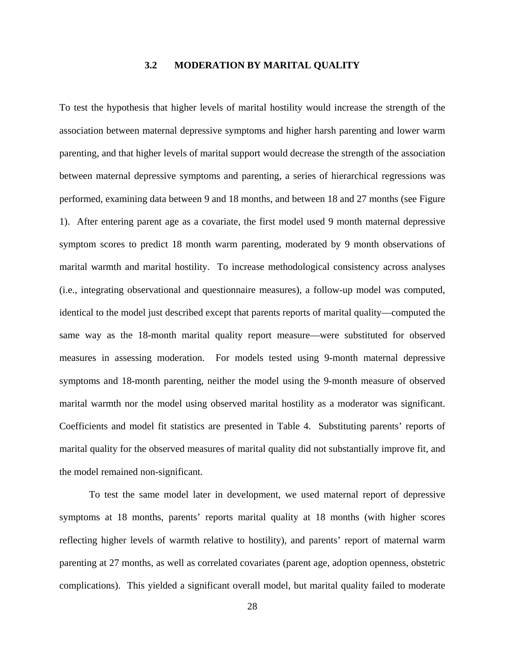### **3.2 MODERATION BY MARITAL QUALITY**

<span id="page-35-0"></span>To test the hypothesis that higher levels of marital hostility would increase the strength of the association between maternal depressive symptoms and higher harsh parenting and lower warm parenting, and that higher levels of marital support would decrease the strength of the association between maternal depressive symptoms and parenting, a series of hierarchical regressions was performed, examining data between 9 and 18 months, and between 18 and 27 months (see Figure 1). After entering parent age as a covariate, the first model used 9 month maternal depressive symptom scores to predict 18 month warm parenting, moderated by 9 month observations of marital warmth and marital hostility. To increase methodological consistency across analyses (i.e., integrating observational and questionnaire measures), a follow-up model was computed, identical to the model just described except that parents reports of marital quality—computed the same way as the 18-month marital quality report measure—were substituted for observed measures in assessing moderation. For models tested using 9-month maternal depressive symptoms and 18-month parenting, neither the model using the 9-month measure of observed marital warmth nor the model using observed marital hostility as a moderator was significant. Coefficients and model fit statistics are presented in Table 4. Substituting parents' reports of marital quality for the observed measures of marital quality did not substantially improve fit, and the model remained non-significant.

To test the same model later in development, we used maternal report of depressive symptoms at 18 months, parents' reports marital quality at 18 months (with higher scores reflecting higher levels of warmth relative to hostility), and parents' report of maternal warm parenting at 27 months, as well as correlated covariates (parent age, adoption openness, obstetric complications). This yielded a significant overall model, but marital quality failed to moderate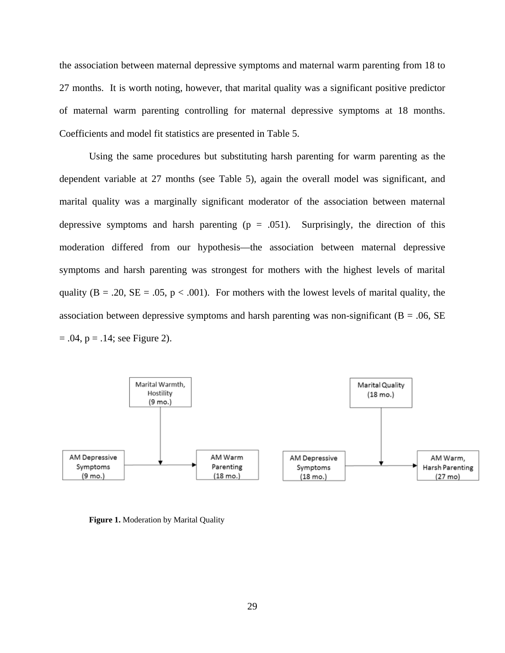the association between maternal depressive symptoms and maternal warm parenting from 18 to 27 months. It is worth noting, however, that marital quality was a significant positive predictor of maternal warm parenting controlling for maternal depressive symptoms at 18 months. Coefficients and model fit statistics are presented in Table 5.

Using the same procedures but substituting harsh parenting for warm parenting as the dependent variable at 27 months (see Table 5), again the overall model was significant, and marital quality was a marginally significant moderator of the association between maternal depressive symptoms and harsh parenting  $(p = .051)$ . Surprisingly, the direction of this moderation differed from our hypothesis—the association between maternal depressive symptoms and harsh parenting was strongest for mothers with the highest levels of marital quality ( $B = .20$ ,  $SE = .05$ ,  $p < .001$ ). For mothers with the lowest levels of marital quality, the association between depressive symptoms and harsh parenting was non-significant ( $B = .06$ , SE  $= .04$ ,  $p = .14$ ; see Figure 2).



<span id="page-36-0"></span>**Figure 1.** Moderation by Marital Quality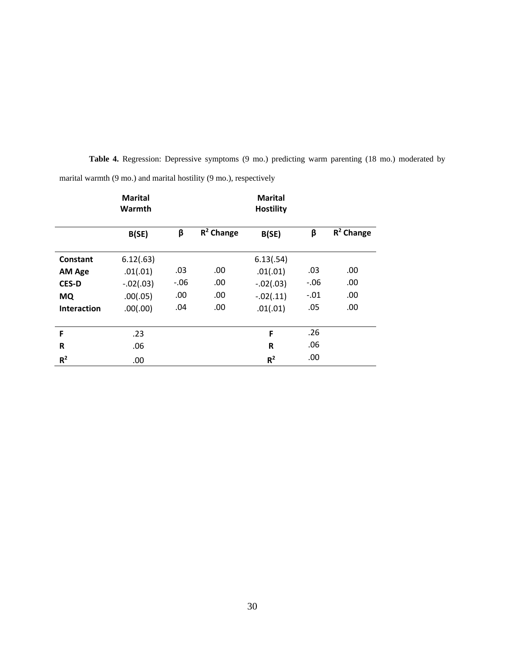|                    | <b>Marital</b><br>Warmth |        |              | <b>Marital</b><br><b>Hostility</b> |         |              |
|--------------------|--------------------------|--------|--------------|------------------------------------|---------|--------------|
|                    | B(SE)                    | β      | $R^2$ Change | B(SE)                              | β       | $R^2$ Change |
| Constant           | 6.12(.63)                |        |              | 6.13(.54)                          |         |              |
| <b>AM Age</b>      | .01(.01)                 | .03    | .00          | .01(.01)                           | .03     | .00          |
| <b>CES-D</b>       | $-.02(.03)$              | $-.06$ | .00          | $-.02(.03)$                        | $-0.06$ | .00          |
| <b>MQ</b>          | .00(.05)                 | .00    | .00.         | $-.02(.11)$                        | $-.01$  | .00          |
| <b>Interaction</b> | .00(.00)                 | .04    | .00.         | .01(.01)                           | .05     | .00          |
| F                  | .23                      |        |              | F                                  | .26     |              |
| R                  | .06                      |        |              | R                                  | .06     |              |
| $R^2$              | .00                      |        |              | $R^2$                              | .00     |              |

**Table 4.** Regression: Depressive symptoms (9 mo.) predicting warm parenting (18 mo.) moderated by

<span id="page-37-0"></span>marital warmth (9 mo.) and marital hostility (9 mo.), respectively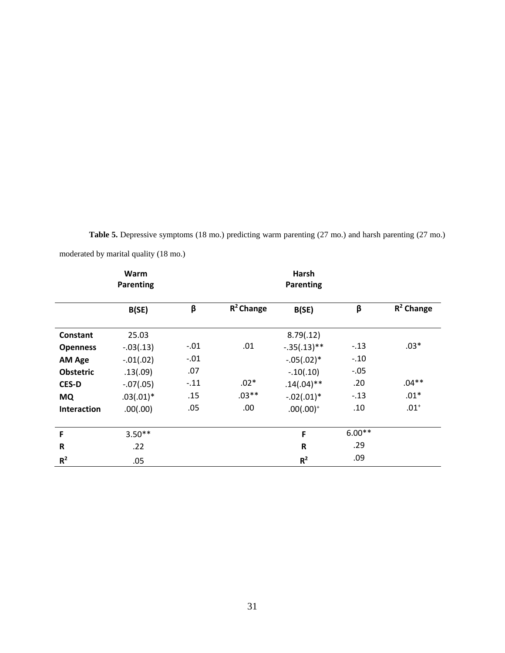<span id="page-38-0"></span>

| <b>Table 5.</b> Depressive symptoms (18 mo.) predicting warm parenting (27 mo.) and harsh parenting (27 mo.) |  |  |  |
|--------------------------------------------------------------------------------------------------------------|--|--|--|
| moderated by marital quality (18 mo.)                                                                        |  |  |  |

|                    | Warm<br><b>Parenting</b> |        |              | Harsh<br>Parenting |          |              |
|--------------------|--------------------------|--------|--------------|--------------------|----------|--------------|
|                    | B(SE)                    | β      | $R^2$ Change | B(SE)              | β        | $R^2$ Change |
| <b>Constant</b>    | 25.03                    |        |              | 8.79(.12)          |          |              |
| <b>Openness</b>    | $-.03(.13)$              | $-.01$ | .01          | $-.35(.13)**$      | $-.13$   | $.03*$       |
| <b>AM Age</b>      | $-.01(.02)$              | $-.01$ |              | $-.05(.02)*$       | $-.10$   |              |
| <b>Obstetric</b>   | .13(.09)                 | .07    |              | $-.10(.10)$        | $-.05$   |              |
| <b>CES-D</b>       | $-.07(.05)$              | $-.11$ | $.02*$       | $.14(.04)$ **      | .20      | $.04**$      |
| <b>MQ</b>          | $.03(.01)*$              | .15    | $.03**$      | $-.02(.01)*$       | $-.13$   | $.01*$       |
| <b>Interaction</b> | .00(.00)                 | .05    | .00          | $.00(.00)^+$       | .10      | $.01^{+}$    |
| F                  | $3.50**$                 |        |              | F                  | $6.00**$ |              |
| R                  | .22                      |        |              | R                  | .29      |              |
| R <sup>2</sup>     | .05                      |        |              | R <sup>2</sup>     | .09      |              |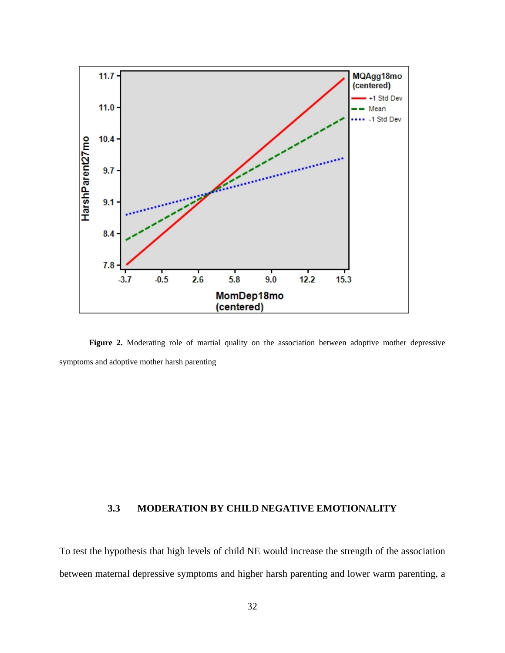

<span id="page-39-1"></span>**Figure 2.** Moderating role of martial quality on the association between adoptive mother depressive symptoms and adoptive mother harsh parenting

## <span id="page-39-0"></span>**3.3 MODERATION BY CHILD NEGATIVE EMOTIONALITY**

To test the hypothesis that high levels of child NE would increase the strength of the association between maternal depressive symptoms and higher harsh parenting and lower warm parenting, a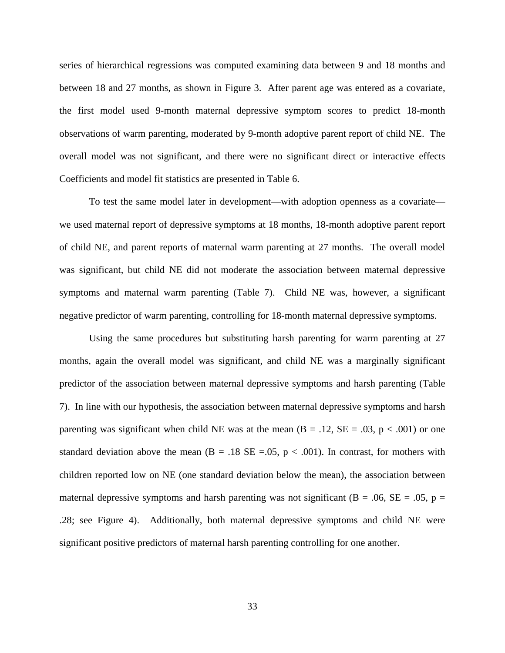series of hierarchical regressions was computed examining data between 9 and 18 months and between 18 and 27 months, as shown in Figure 3. After parent age was entered as a covariate, the first model used 9-month maternal depressive symptom scores to predict 18-month observations of warm parenting, moderated by 9-month adoptive parent report of child NE. The overall model was not significant, and there were no significant direct or interactive effects Coefficients and model fit statistics are presented in Table 6.

To test the same model later in development—with adoption openness as a covariate we used maternal report of depressive symptoms at 18 months, 18-month adoptive parent report of child NE, and parent reports of maternal warm parenting at 27 months. The overall model was significant, but child NE did not moderate the association between maternal depressive symptoms and maternal warm parenting (Table 7). Child NE was, however, a significant negative predictor of warm parenting, controlling for 18-month maternal depressive symptoms.

Using the same procedures but substituting harsh parenting for warm parenting at 27 months, again the overall model was significant, and child NE was a marginally significant predictor of the association between maternal depressive symptoms and harsh parenting (Table 7). In line with our hypothesis, the association between maternal depressive symptoms and harsh parenting was significant when child NE was at the mean  $(B = .12, SE = .03, p < .001)$  or one standard deviation above the mean (B = .18 SE = .05,  $p < .001$ ). In contrast, for mothers with children reported low on NE (one standard deviation below the mean), the association between maternal depressive symptoms and harsh parenting was not significant ( $B = .06$ ,  $SE = .05$ ,  $p =$ .28; see Figure 4). Additionally, both maternal depressive symptoms and child NE were significant positive predictors of maternal harsh parenting controlling for one another.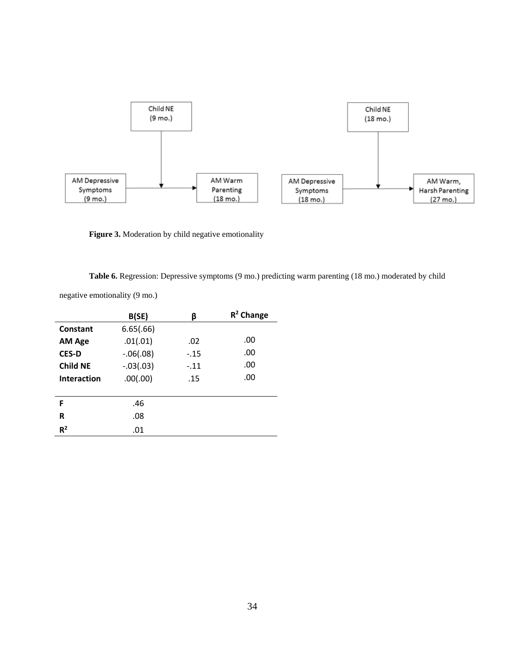

<span id="page-41-1"></span>Figure 3. Moderation by child negative emotionality

**Table 6.** Regression: Depressive symptoms (9 mo.) predicting warm parenting (18 mo.) moderated by child

<span id="page-41-0"></span>negative emotionality (9 mo.)

|                    | B(SE)       | ß      | $R^2$ Change |
|--------------------|-------------|--------|--------------|
| Constant           | 6.65(.66)   |        |              |
| <b>AM Age</b>      | .01(.01)    | .02    | .00          |
| <b>CES-D</b>       | $-.06(.08)$ | $-.15$ | .00          |
| <b>Child NE</b>    | $-.03(.03)$ | $-.11$ | .00          |
| <b>Interaction</b> | .00(.00)    | .15    | .00          |
|                    |             |        |              |
| F                  | .46         |        |              |
| R                  | .08         |        |              |
| $R^2$              | .01         |        |              |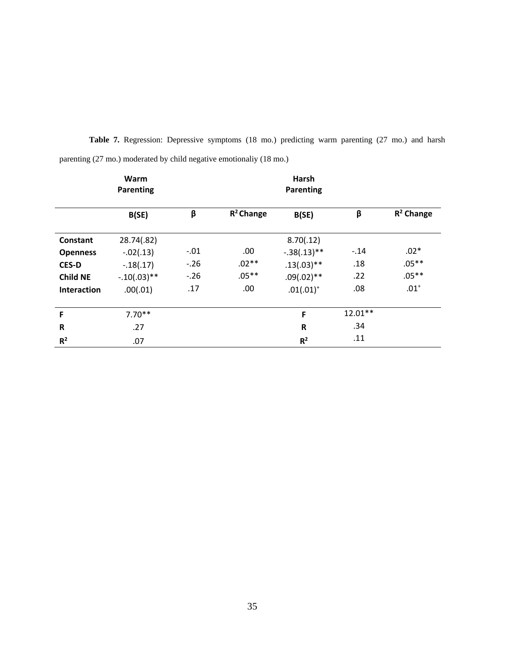|                 | Warm<br>Parenting |        |              | Harsh<br>Parenting |           |              |
|-----------------|-------------------|--------|--------------|--------------------|-----------|--------------|
|                 | B(SE)             | β      | $R^2$ Change | B(SE)              | β         | $R^2$ Change |
| Constant        | 28.74(.82)        |        |              | 8.70(.12)          |           |              |
| <b>Openness</b> | $-.02(.13)$       | $-.01$ | .00.         | $-.38(.13)**$      | $-.14$    | $.02*$       |
| <b>CES-D</b>    | $-.18(.17)$       | $-.26$ | $.02**$      | $.13(.03)**$       | .18       | $.05**$      |
| <b>Child NE</b> | $-.10(.03)**$     | $-.26$ | $.05***$     | $.09(.02)**$       | .22       | $.05***$     |
| Interaction     | .00(.01)          | .17    | .00          | $.01(.01)^+$       | .08       | $.01^{+}$    |
| F               | $7.70**$          |        |              | F                  | $12.01**$ |              |
| ${\sf R}$       | .27               |        |              | $\mathsf{R}$       | .34       |              |
| R <sup>2</sup>  | .07               |        |              | $R^2$              | .11       |              |

<span id="page-42-0"></span>Table 7. Regression: Depressive symptoms (18 mo.) predicting warm parenting (27 mo.) and harsh parenting (27 mo.) moderated by child negative emotionaliy (18 mo.)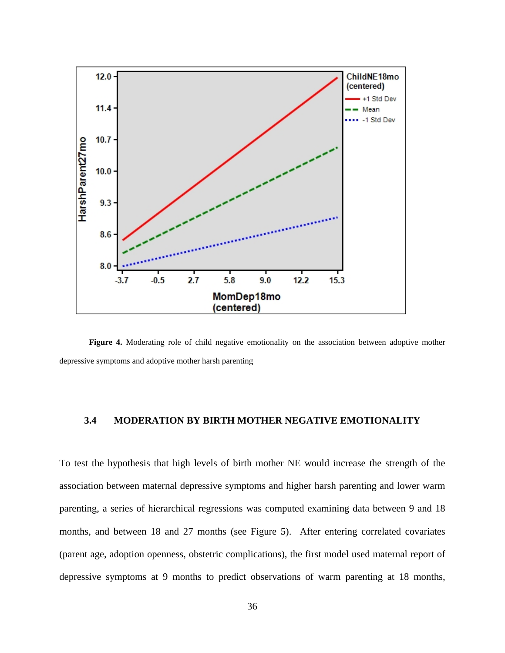

<span id="page-43-1"></span><span id="page-43-0"></span>**Figure 4.** Moderating role of child negative emotionality on the association between adoptive mother depressive symptoms and adoptive mother harsh parenting

#### **3.4 MODERATION BY BIRTH MOTHER NEGATIVE EMOTIONALITY**

To test the hypothesis that high levels of birth mother NE would increase the strength of the association between maternal depressive symptoms and higher harsh parenting and lower warm parenting, a series of hierarchical regressions was computed examining data between 9 and 18 months, and between 18 and 27 months (see Figure 5). After entering correlated covariates (parent age, adoption openness, obstetric complications), the first model used maternal report of depressive symptoms at 9 months to predict observations of warm parenting at 18 months,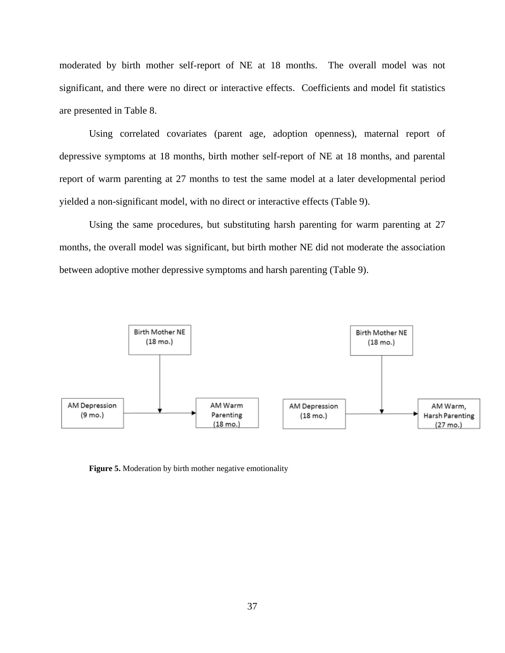moderated by birth mother self-report of NE at 18 months. The overall model was not significant, and there were no direct or interactive effects. Coefficients and model fit statistics are presented in Table 8.

Using correlated covariates (parent age, adoption openness), maternal report of depressive symptoms at 18 months, birth mother self-report of NE at 18 months, and parental report of warm parenting at 27 months to test the same model at a later developmental period yielded a non-significant model, with no direct or interactive effects (Table 9).

Using the same procedures, but substituting harsh parenting for warm parenting at 27 months, the overall model was significant, but birth mother NE did not moderate the association between adoptive mother depressive symptoms and harsh parenting (Table 9).



<span id="page-44-0"></span>**Figure 5.** Moderation by birth mother negative emotionality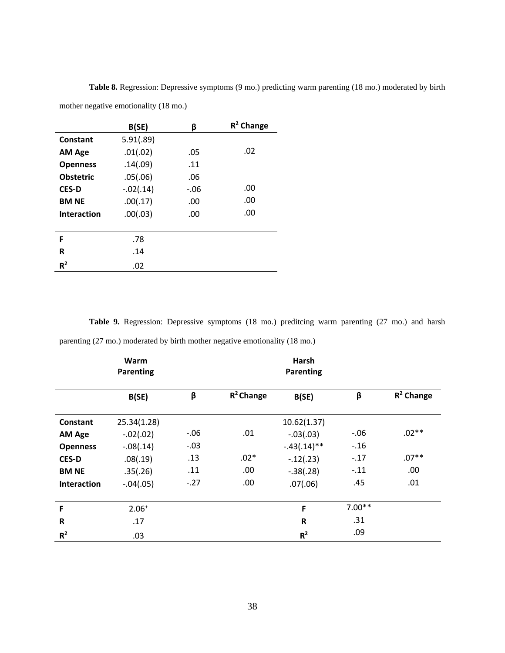|                    | B(SE)       | β       | $R^2$ Change |
|--------------------|-------------|---------|--------------|
| Constant           | 5.91(.89)   |         |              |
| <b>AM Age</b>      | .01(.02)    | .05     | .02          |
| <b>Openness</b>    | .14(.09)    | .11     |              |
| <b>Obstetric</b>   | .05(.06)    | .06     |              |
| <b>CES-D</b>       | $-.02(.14)$ | $-0.06$ | .00          |
| <b>BM NE</b>       | .00(.17)    | .00     | .00          |
| <b>Interaction</b> | .00(.03)    | .00     | .00          |
|                    |             |         |              |
| F                  | .78         |         |              |
| R                  | .14         |         |              |
| $R^2$              | .02         |         |              |

**Table 8.** Regression: Depressive symptoms (9 mo.) predicting warm parenting (18 mo.) moderated by birth

<span id="page-45-0"></span>mother negative emotionality (18 mo.)

<span id="page-45-1"></span>Table 9. Regression: Depressive symptoms (18 mo.) preditcing warm parenting (27 mo.) and harsh parenting (27 mo.) moderated by birth mother negative emotionality (18 mo.)

|                 | Warm<br><b>Parenting</b> |        |              | Harsh<br>Parenting |          |              |
|-----------------|--------------------------|--------|--------------|--------------------|----------|--------------|
|                 | B(SE)                    | β      | $R^2$ Change | B(SE)              | β        | $R^2$ Change |
| Constant        | 25.34(1.28)              |        |              | 10.62(1.37)        |          |              |
| <b>AM Age</b>   | $-.02(.02)$              | $-.06$ | .01          | $-.03(.03)$        | $-0.06$  | $.02**$      |
| <b>Openness</b> | $-.08(.14)$              | $-.03$ |              | $-.43(.14)**$      | $-.16$   |              |
| <b>CES-D</b>    | .08(.19)                 | .13    | $.02*$       | $-.12(.23)$        | $-.17$   | $.07**$      |
| <b>BM NE</b>    | .35(.26)                 | .11    | .00.         | $-.38(.28)$        | $-.11$   | .00          |
| Interaction     | $-.04(.05)$              | $-.27$ | .00.         | .07(.06)           | .45      | .01          |
| F               | $2.06+$                  |        |              | F                  | $7.00**$ |              |
| $\mathsf R$     | .17                      |        |              | $\mathsf{R}$       | .31      |              |
| $R^2$           | .03                      |        |              | R <sup>2</sup>     | .09      |              |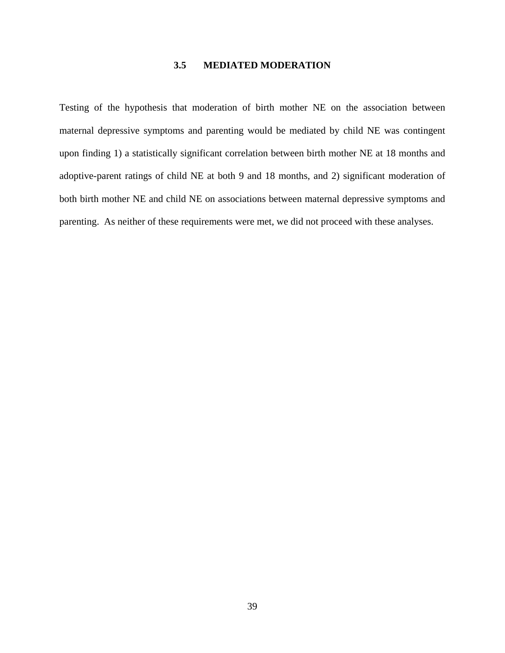## **3.5 MEDIATED MODERATION**

<span id="page-46-0"></span>Testing of the hypothesis that moderation of birth mother NE on the association between maternal depressive symptoms and parenting would be mediated by child NE was contingent upon finding 1) a statistically significant correlation between birth mother NE at 18 months and adoptive-parent ratings of child NE at both 9 and 18 months, and 2) significant moderation of both birth mother NE and child NE on associations between maternal depressive symptoms and parenting. As neither of these requirements were met, we did not proceed with these analyses.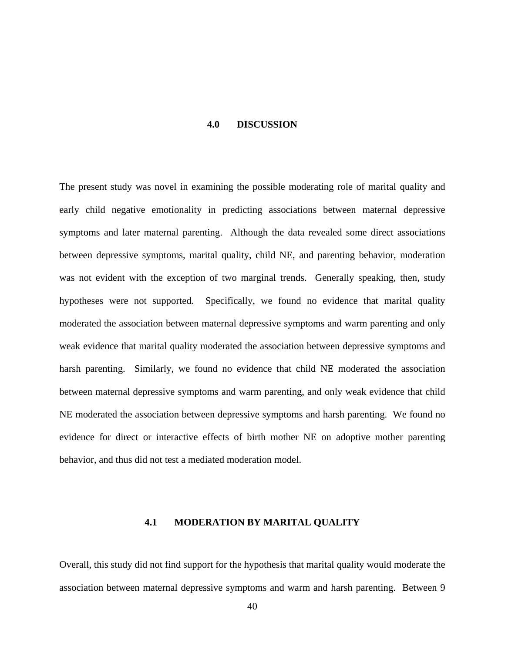#### **4.0 DISCUSSION**

<span id="page-47-0"></span>The present study was novel in examining the possible moderating role of marital quality and early child negative emotionality in predicting associations between maternal depressive symptoms and later maternal parenting. Although the data revealed some direct associations between depressive symptoms, marital quality, child NE, and parenting behavior, moderation was not evident with the exception of two marginal trends. Generally speaking, then, study hypotheses were not supported. Specifically, we found no evidence that marital quality moderated the association between maternal depressive symptoms and warm parenting and only weak evidence that marital quality moderated the association between depressive symptoms and harsh parenting. Similarly, we found no evidence that child NE moderated the association between maternal depressive symptoms and warm parenting, and only weak evidence that child NE moderated the association between depressive symptoms and harsh parenting. We found no evidence for direct or interactive effects of birth mother NE on adoptive mother parenting behavior, and thus did not test a mediated moderation model.

#### **4.1 MODERATION BY MARITAL QUALITY**

<span id="page-47-1"></span>Overall, this study did not find support for the hypothesis that marital quality would moderate the association between maternal depressive symptoms and warm and harsh parenting. Between 9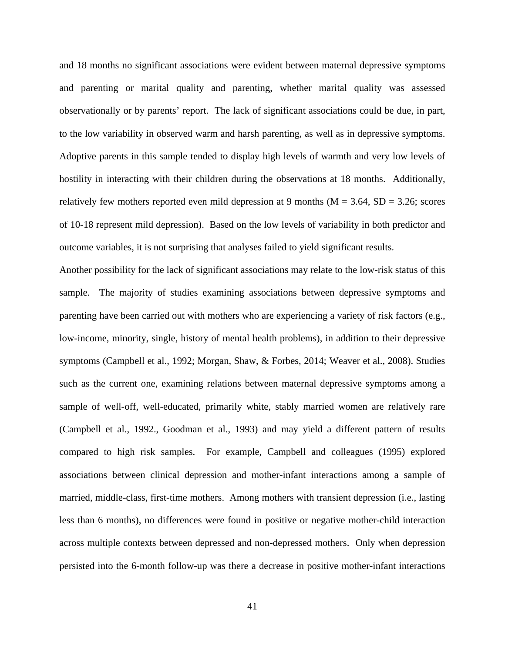and 18 months no significant associations were evident between maternal depressive symptoms and parenting or marital quality and parenting, whether marital quality was assessed observationally or by parents' report. The lack of significant associations could be due, in part, to the low variability in observed warm and harsh parenting, as well as in depressive symptoms. Adoptive parents in this sample tended to display high levels of warmth and very low levels of hostility in interacting with their children during the observations at 18 months. Additionally, relatively few mothers reported even mild depression at 9 months ( $M = 3.64$ ,  $SD = 3.26$ ; scores of 10-18 represent mild depression). Based on the low levels of variability in both predictor and outcome variables, it is not surprising that analyses failed to yield significant results.

Another possibility for the lack of significant associations may relate to the low-risk status of this sample. The majority of studies examining associations between depressive symptoms and parenting have been carried out with mothers who are experiencing a variety of risk factors (e.g., low-income, minority, single, history of mental health problems), in addition to their depressive symptoms (Campbell et al., 1992; Morgan, Shaw, & Forbes, 2014; Weaver et al., 2008). Studies such as the current one, examining relations between maternal depressive symptoms among a sample of well-off, well-educated, primarily white, stably married women are relatively rare (Campbell et al., 1992., Goodman et al., 1993) and may yield a different pattern of results compared to high risk samples. For example, Campbell and colleagues (1995) explored associations between clinical depression and mother-infant interactions among a sample of married, middle-class, first-time mothers. Among mothers with transient depression (i.e., lasting less than 6 months), no differences were found in positive or negative mother-child interaction across multiple contexts between depressed and non-depressed mothers. Only when depression persisted into the 6-month follow-up was there a decrease in positive mother-infant interactions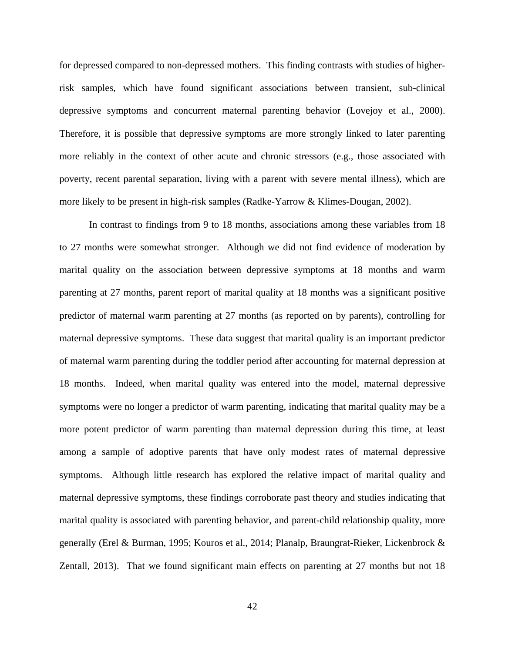for depressed compared to non-depressed mothers. This finding contrasts with studies of higherrisk samples, which have found significant associations between transient, sub-clinical depressive symptoms and concurrent maternal parenting behavior (Lovejoy et al., 2000). Therefore, it is possible that depressive symptoms are more strongly linked to later parenting more reliably in the context of other acute and chronic stressors (e.g., those associated with poverty, recent parental separation, living with a parent with severe mental illness), which are more likely to be present in high-risk samples (Radke-Yarrow & Klimes-Dougan, 2002).

In contrast to findings from 9 to 18 months, associations among these variables from 18 to 27 months were somewhat stronger. Although we did not find evidence of moderation by marital quality on the association between depressive symptoms at 18 months and warm parenting at 27 months, parent report of marital quality at 18 months was a significant positive predictor of maternal warm parenting at 27 months (as reported on by parents), controlling for maternal depressive symptoms. These data suggest that marital quality is an important predictor of maternal warm parenting during the toddler period after accounting for maternal depression at 18 months. Indeed, when marital quality was entered into the model, maternal depressive symptoms were no longer a predictor of warm parenting, indicating that marital quality may be a more potent predictor of warm parenting than maternal depression during this time, at least among a sample of adoptive parents that have only modest rates of maternal depressive symptoms. Although little research has explored the relative impact of marital quality and maternal depressive symptoms, these findings corroborate past theory and studies indicating that marital quality is associated with parenting behavior, and parent-child relationship quality, more generally (Erel & Burman, 1995; Kouros et al., 2014; Planalp, Braungrat-Rieker, Lickenbrock & Zentall, 2013). That we found significant main effects on parenting at 27 months but not 18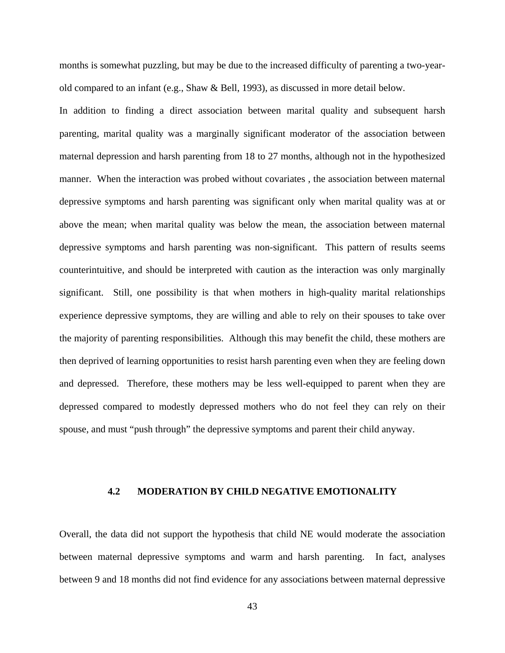months is somewhat puzzling, but may be due to the increased difficulty of parenting a two-yearold compared to an infant (e.g., Shaw & Bell, 1993), as discussed in more detail below.

In addition to finding a direct association between marital quality and subsequent harsh parenting, marital quality was a marginally significant moderator of the association between maternal depression and harsh parenting from 18 to 27 months, although not in the hypothesized manner. When the interaction was probed without covariates , the association between maternal depressive symptoms and harsh parenting was significant only when marital quality was at or above the mean; when marital quality was below the mean, the association between maternal depressive symptoms and harsh parenting was non-significant. This pattern of results seems counterintuitive, and should be interpreted with caution as the interaction was only marginally significant. Still, one possibility is that when mothers in high-quality marital relationships experience depressive symptoms, they are willing and able to rely on their spouses to take over the majority of parenting responsibilities. Although this may benefit the child, these mothers are then deprived of learning opportunities to resist harsh parenting even when they are feeling down and depressed. Therefore, these mothers may be less well-equipped to parent when they are depressed compared to modestly depressed mothers who do not feel they can rely on their spouse, and must "push through" the depressive symptoms and parent their child anyway.

# <span id="page-50-0"></span>**4.2 MODERATION BY CHILD NEGATIVE EMOTIONALITY**

Overall, the data did not support the hypothesis that child NE would moderate the association between maternal depressive symptoms and warm and harsh parenting. In fact, analyses between 9 and 18 months did not find evidence for any associations between maternal depressive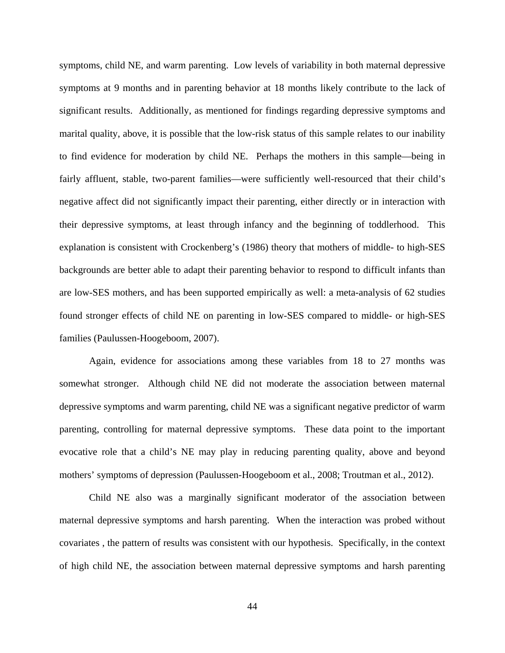symptoms, child NE, and warm parenting. Low levels of variability in both maternal depressive symptoms at 9 months and in parenting behavior at 18 months likely contribute to the lack of significant results. Additionally, as mentioned for findings regarding depressive symptoms and marital quality, above, it is possible that the low-risk status of this sample relates to our inability to find evidence for moderation by child NE. Perhaps the mothers in this sample—being in fairly affluent, stable, two-parent families—were sufficiently well-resourced that their child's negative affect did not significantly impact their parenting, either directly or in interaction with their depressive symptoms, at least through infancy and the beginning of toddlerhood. This explanation is consistent with Crockenberg's (1986) theory that mothers of middle- to high-SES backgrounds are better able to adapt their parenting behavior to respond to difficult infants than are low-SES mothers, and has been supported empirically as well: a meta-analysis of 62 studies found stronger effects of child NE on parenting in low-SES compared to middle- or high-SES families (Paulussen-Hoogeboom, 2007).

Again, evidence for associations among these variables from 18 to 27 months was somewhat stronger. Although child NE did not moderate the association between maternal depressive symptoms and warm parenting, child NE was a significant negative predictor of warm parenting, controlling for maternal depressive symptoms. These data point to the important evocative role that a child's NE may play in reducing parenting quality, above and beyond mothers' symptoms of depression (Paulussen-Hoogeboom et al., 2008; Troutman et al., 2012).

Child NE also was a marginally significant moderator of the association between maternal depressive symptoms and harsh parenting. When the interaction was probed without covariates , the pattern of results was consistent with our hypothesis. Specifically, in the context of high child NE, the association between maternal depressive symptoms and harsh parenting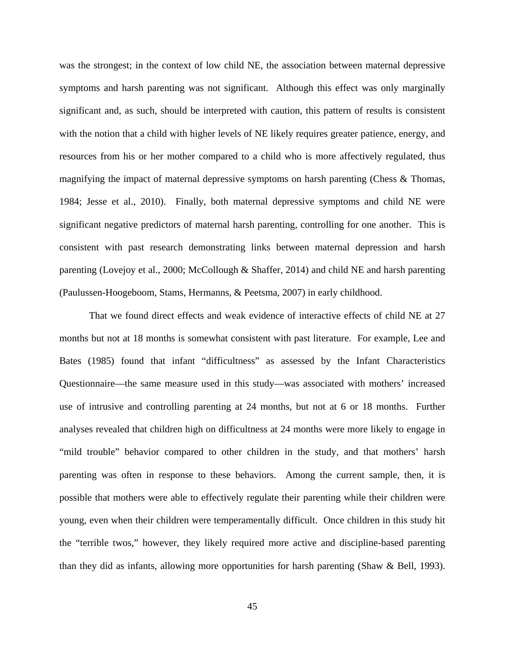was the strongest; in the context of low child NE, the association between maternal depressive symptoms and harsh parenting was not significant. Although this effect was only marginally significant and, as such, should be interpreted with caution, this pattern of results is consistent with the notion that a child with higher levels of NE likely requires greater patience, energy, and resources from his or her mother compared to a child who is more affectively regulated, thus magnifying the impact of maternal depressive symptoms on harsh parenting (Chess & Thomas, 1984; Jesse et al., 2010). Finally, both maternal depressive symptoms and child NE were significant negative predictors of maternal harsh parenting, controlling for one another. This is consistent with past research demonstrating links between maternal depression and harsh parenting (Lovejoy et al., 2000; McCollough & Shaffer, 2014) and child NE and harsh parenting (Paulussen-Hoogeboom, Stams, Hermanns, & Peetsma, 2007) in early childhood.

That we found direct effects and weak evidence of interactive effects of child NE at 27 months but not at 18 months is somewhat consistent with past literature. For example, Lee and Bates (1985) found that infant "difficultness" as assessed by the Infant Characteristics Questionnaire—the same measure used in this study—was associated with mothers' increased use of intrusive and controlling parenting at 24 months, but not at 6 or 18 months. Further analyses revealed that children high on difficultness at 24 months were more likely to engage in "mild trouble" behavior compared to other children in the study, and that mothers' harsh parenting was often in response to these behaviors. Among the current sample, then, it is possible that mothers were able to effectively regulate their parenting while their children were young, even when their children were temperamentally difficult. Once children in this study hit the "terrible twos," however, they likely required more active and discipline-based parenting than they did as infants, allowing more opportunities for harsh parenting (Shaw & Bell, 1993).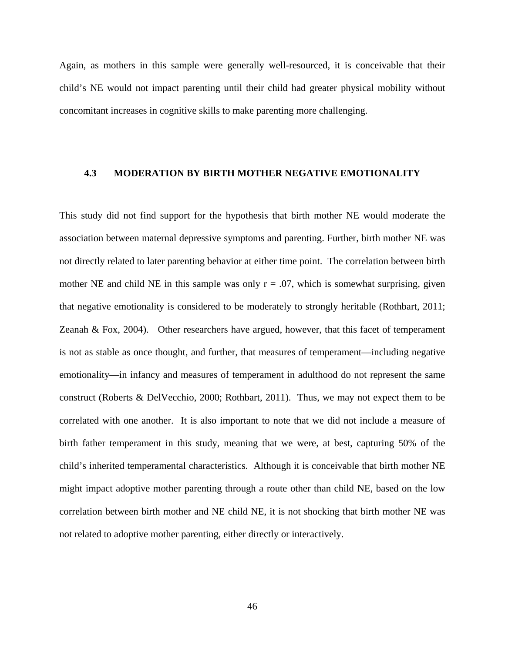Again, as mothers in this sample were generally well-resourced, it is conceivable that their child's NE would not impact parenting until their child had greater physical mobility without concomitant increases in cognitive skills to make parenting more challenging.

#### <span id="page-53-0"></span>**4.3 MODERATION BY BIRTH MOTHER NEGATIVE EMOTIONALITY**

This study did not find support for the hypothesis that birth mother NE would moderate the association between maternal depressive symptoms and parenting. Further, birth mother NE was not directly related to later parenting behavior at either time point. The correlation between birth mother NE and child NE in this sample was only  $r = .07$ , which is somewhat surprising, given that negative emotionality is considered to be moderately to strongly heritable (Rothbart, 2011; Zeanah & Fox, 2004). Other researchers have argued, however, that this facet of temperament is not as stable as once thought, and further, that measures of temperament—including negative emotionality—in infancy and measures of temperament in adulthood do not represent the same construct (Roberts & DelVecchio, 2000; Rothbart, 2011). Thus, we may not expect them to be correlated with one another. It is also important to note that we did not include a measure of birth father temperament in this study, meaning that we were, at best, capturing 50% of the child's inherited temperamental characteristics. Although it is conceivable that birth mother NE might impact adoptive mother parenting through a route other than child NE, based on the low correlation between birth mother and NE child NE, it is not shocking that birth mother NE was not related to adoptive mother parenting, either directly or interactively.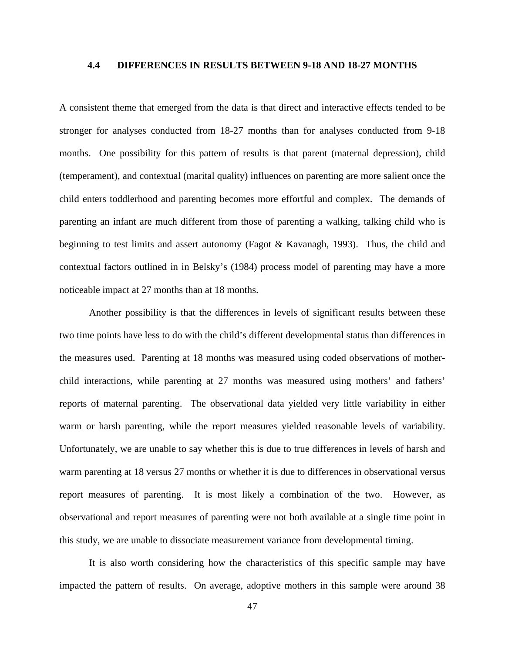#### <span id="page-54-0"></span>**4.4 DIFFERENCES IN RESULTS BETWEEN 9-18 AND 18-27 MONTHS**

A consistent theme that emerged from the data is that direct and interactive effects tended to be stronger for analyses conducted from 18-27 months than for analyses conducted from 9-18 months. One possibility for this pattern of results is that parent (maternal depression), child (temperament), and contextual (marital quality) influences on parenting are more salient once the child enters toddlerhood and parenting becomes more effortful and complex. The demands of parenting an infant are much different from those of parenting a walking, talking child who is beginning to test limits and assert autonomy (Fagot & Kavanagh, 1993). Thus, the child and contextual factors outlined in in Belsky's (1984) process model of parenting may have a more noticeable impact at 27 months than at 18 months.

Another possibility is that the differences in levels of significant results between these two time points have less to do with the child's different developmental status than differences in the measures used. Parenting at 18 months was measured using coded observations of motherchild interactions, while parenting at 27 months was measured using mothers' and fathers' reports of maternal parenting. The observational data yielded very little variability in either warm or harsh parenting, while the report measures yielded reasonable levels of variability. Unfortunately, we are unable to say whether this is due to true differences in levels of harsh and warm parenting at 18 versus 27 months or whether it is due to differences in observational versus report measures of parenting. It is most likely a combination of the two. However, as observational and report measures of parenting were not both available at a single time point in this study, we are unable to dissociate measurement variance from developmental timing.

It is also worth considering how the characteristics of this specific sample may have impacted the pattern of results. On average, adoptive mothers in this sample were around 38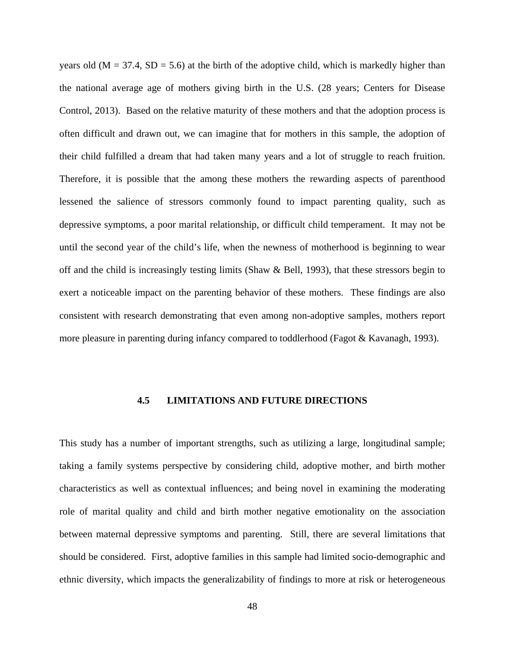years old ( $M = 37.4$ ,  $SD = 5.6$ ) at the birth of the adoptive child, which is markedly higher than the national average age of mothers giving birth in the U.S. (28 years; Centers for Disease Control, 2013). Based on the relative maturity of these mothers and that the adoption process is often difficult and drawn out, we can imagine that for mothers in this sample, the adoption of their child fulfilled a dream that had taken many years and a lot of struggle to reach fruition. Therefore, it is possible that the among these mothers the rewarding aspects of parenthood lessened the salience of stressors commonly found to impact parenting quality, such as depressive symptoms, a poor marital relationship, or difficult child temperament. It may not be until the second year of the child's life, when the newness of motherhood is beginning to wear off and the child is increasingly testing limits (Shaw  $\&$  Bell, 1993), that these stressors begin to exert a noticeable impact on the parenting behavior of these mothers. These findings are also consistent with research demonstrating that even among non-adoptive samples, mothers report more pleasure in parenting during infancy compared to toddlerhood (Fagot & Kavanagh, 1993).

#### **4.5 LIMITATIONS AND FUTURE DIRECTIONS**

<span id="page-55-0"></span>This study has a number of important strengths, such as utilizing a large, longitudinal sample; taking a family systems perspective by considering child, adoptive mother, and birth mother characteristics as well as contextual influences; and being novel in examining the moderating role of marital quality and child and birth mother negative emotionality on the association between maternal depressive symptoms and parenting. Still, there are several limitations that should be considered. First, adoptive families in this sample had limited socio-demographic and ethnic diversity, which impacts the generalizability of findings to more at risk or heterogeneous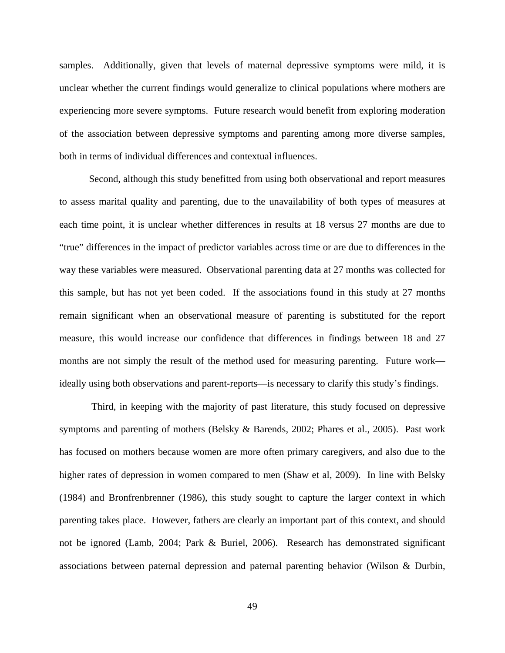samples. Additionally, given that levels of maternal depressive symptoms were mild, it is unclear whether the current findings would generalize to clinical populations where mothers are experiencing more severe symptoms. Future research would benefit from exploring moderation of the association between depressive symptoms and parenting among more diverse samples, both in terms of individual differences and contextual influences.

Second, although this study benefitted from using both observational and report measures to assess marital quality and parenting, due to the unavailability of both types of measures at each time point, it is unclear whether differences in results at 18 versus 27 months are due to "true" differences in the impact of predictor variables across time or are due to differences in the way these variables were measured. Observational parenting data at 27 months was collected for this sample, but has not yet been coded. If the associations found in this study at 27 months remain significant when an observational measure of parenting is substituted for the report measure, this would increase our confidence that differences in findings between 18 and 27 months are not simply the result of the method used for measuring parenting. Future work ideally using both observations and parent-reports—is necessary to clarify this study's findings.

Third, in keeping with the majority of past literature, this study focused on depressive symptoms and parenting of mothers (Belsky & Barends, 2002; Phares et al., 2005). Past work has focused on mothers because women are more often primary caregivers, and also due to the higher rates of depression in women compared to men (Shaw et al, 2009). In line with Belsky (1984) and Bronfrenbrenner (1986), this study sought to capture the larger context in which parenting takes place. However, fathers are clearly an important part of this context, and should not be ignored (Lamb, 2004; Park & Buriel, 2006). Research has demonstrated significant associations between paternal depression and paternal parenting behavior (Wilson & Durbin,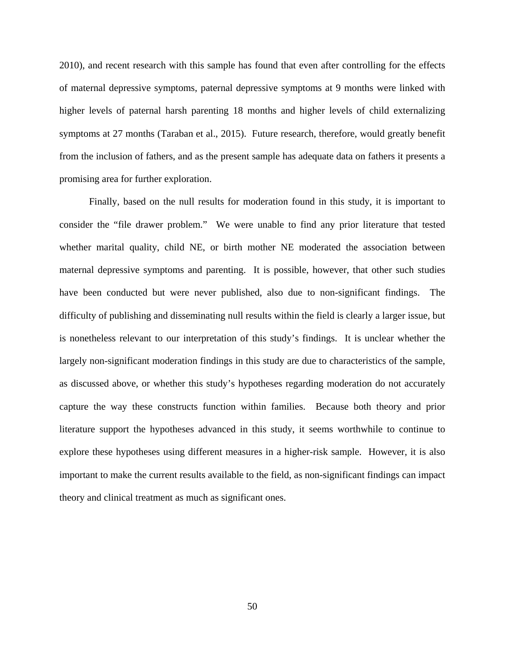2010), and recent research with this sample has found that even after controlling for the effects of maternal depressive symptoms, paternal depressive symptoms at 9 months were linked with higher levels of paternal harsh parenting 18 months and higher levels of child externalizing symptoms at 27 months (Taraban et al., 2015). Future research, therefore, would greatly benefit from the inclusion of fathers, and as the present sample has adequate data on fathers it presents a promising area for further exploration.

Finally, based on the null results for moderation found in this study, it is important to consider the "file drawer problem." We were unable to find any prior literature that tested whether marital quality, child NE, or birth mother NE moderated the association between maternal depressive symptoms and parenting. It is possible, however, that other such studies have been conducted but were never published, also due to non-significant findings. The difficulty of publishing and disseminating null results within the field is clearly a larger issue, but is nonetheless relevant to our interpretation of this study's findings. It is unclear whether the largely non-significant moderation findings in this study are due to characteristics of the sample, as discussed above, or whether this study's hypotheses regarding moderation do not accurately capture the way these constructs function within families. Because both theory and prior literature support the hypotheses advanced in this study, it seems worthwhile to continue to explore these hypotheses using different measures in a higher-risk sample. However, it is also important to make the current results available to the field, as non-significant findings can impact theory and clinical treatment as much as significant ones.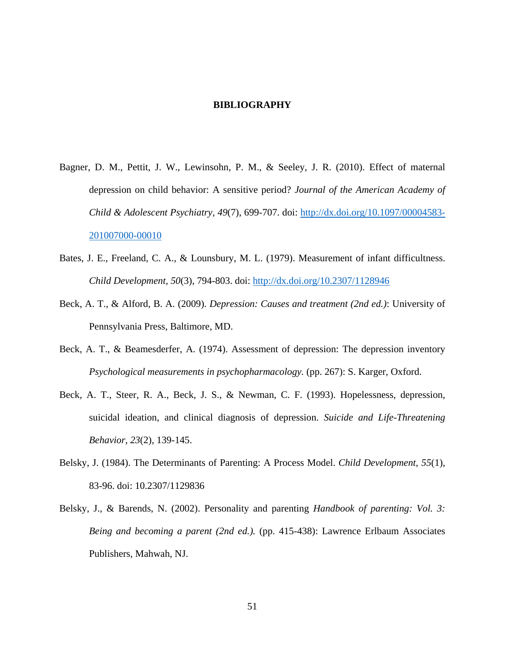#### **BIBLIOGRAPHY**

- <span id="page-58-0"></span>Bagner, D. M., Pettit, J. W., Lewinsohn, P. M., & Seeley, J. R. (2010). Effect of maternal depression on child behavior: A sensitive period? *Journal of the American Academy of Child & Adolescent Psychiatry, 49*(7), 699-707. doi: [http://dx.doi.org/10.1097/00004583-](http://dx.doi.org/10.1097/00004583-201007000-00010) [201007000-00010](http://dx.doi.org/10.1097/00004583-201007000-00010)
- Bates, J. E., Freeland, C. A., & Lounsbury, M. L. (1979). Measurement of infant difficultness. *Child Development, 50*(3), 794-803. doi:<http://dx.doi.org/10.2307/1128946>
- Beck, A. T., & Alford, B. A. (2009). *Depression: Causes and treatment (2nd ed.)*: University of Pennsylvania Press, Baltimore, MD.
- Beck, A. T., & Beamesderfer, A. (1974). Assessment of depression: The depression inventory *Psychological measurements in psychopharmacology.* (pp. 267): S. Karger, Oxford.
- Beck, A. T., Steer, R. A., Beck, J. S., & Newman, C. F. (1993). Hopelessness, depression, suicidal ideation, and clinical diagnosis of depression. *Suicide and Life-Threatening Behavior, 23*(2), 139-145.
- Belsky, J. (1984). The Determinants of Parenting: A Process Model. *Child Development, 55*(1), 83-96. doi: 10.2307/1129836
- Belsky, J., & Barends, N. (2002). Personality and parenting *Handbook of parenting: Vol. 3: Being and becoming a parent (2nd ed.).* (pp. 415-438): Lawrence Erlbaum Associates Publishers, Mahwah, NJ.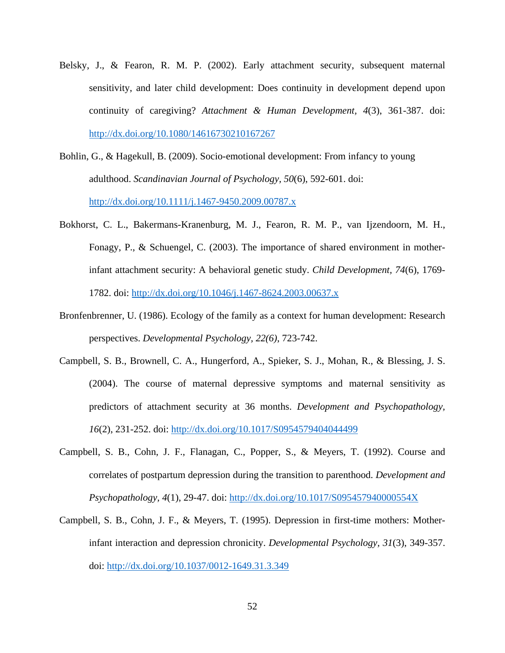- Belsky, J., & Fearon, R. M. P. (2002). Early attachment security, subsequent maternal sensitivity, and later child development: Does continuity in development depend upon continuity of caregiving? *Attachment & Human Development, 4*(3), 361-387. doi: <http://dx.doi.org/10.1080/14616730210167267>
- Bohlin, G., & Hagekull, B. (2009). Socio-emotional development: From infancy to young adulthood. *Scandinavian Journal of Psychology, 50*(6), 592-601. doi: <http://dx.doi.org/10.1111/j.1467-9450.2009.00787.x>
- Bokhorst, C. L., Bakermans-Kranenburg, M. J., Fearon, R. M. P., van Ijzendoorn, M. H., Fonagy, P., & Schuengel, C. (2003). The importance of shared environment in motherinfant attachment security: A behavioral genetic study. *Child Development, 74*(6), 1769- 1782. doi:<http://dx.doi.org/10.1046/j.1467-8624.2003.00637.x>
- Bronfenbrenner, U. (1986). Ecology of the family as a context for human development: Research perspectives. *Developmental Psychology, 22(6)*, 723-742.
- Campbell, S. B., Brownell, C. A., Hungerford, A., Spieker, S. J., Mohan, R., & Blessing, J. S. (2004). The course of maternal depressive symptoms and maternal sensitivity as predictors of attachment security at 36 months. *Development and Psychopathology, 16*(2), 231-252. doi:<http://dx.doi.org/10.1017/S0954579404044499>
- Campbell, S. B., Cohn, J. F., Flanagan, C., Popper, S., & Meyers, T. (1992). Course and correlates of postpartum depression during the transition to parenthood. *Development and Psychopathology, 4*(1), 29-47. doi:<http://dx.doi.org/10.1017/S095457940000554X>
- Campbell, S. B., Cohn, J. F., & Meyers, T. (1995). Depression in first-time mothers: Motherinfant interaction and depression chronicity. *Developmental Psychology, 31*(3), 349-357. doi:<http://dx.doi.org/10.1037/0012-1649.31.3.349>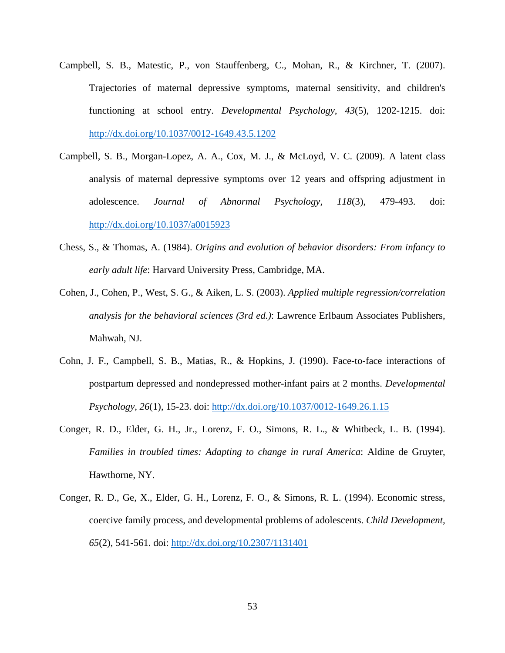- Campbell, S. B., Matestic, P., von Stauffenberg, C., Mohan, R., & Kirchner, T. (2007). Trajectories of maternal depressive symptoms, maternal sensitivity, and children's functioning at school entry. *Developmental Psychology, 43*(5), 1202-1215. doi: <http://dx.doi.org/10.1037/0012-1649.43.5.1202>
- Campbell, S. B., Morgan-Lopez, A. A., Cox, M. J., & McLoyd, V. C. (2009). A latent class analysis of maternal depressive symptoms over 12 years and offspring adjustment in adolescence. *Journal of Abnormal Psychology, 118*(3), 479-493. doi: <http://dx.doi.org/10.1037/a0015923>
- Chess, S., & Thomas, A. (1984). *Origins and evolution of behavior disorders: From infancy to early adult life*: Harvard University Press, Cambridge, MA.
- Cohen, J., Cohen, P., West, S. G., & Aiken, L. S. (2003). *Applied multiple regression/correlation analysis for the behavioral sciences (3rd ed.)*: Lawrence Erlbaum Associates Publishers, Mahwah, NJ.
- Cohn, J. F., Campbell, S. B., Matias, R., & Hopkins, J. (1990). Face-to-face interactions of postpartum depressed and nondepressed mother-infant pairs at 2 months. *Developmental Psychology, 26*(1), 15-23. doi:<http://dx.doi.org/10.1037/0012-1649.26.1.15>
- Conger, R. D., Elder, G. H., Jr., Lorenz, F. O., Simons, R. L., & Whitbeck, L. B. (1994). *Families in troubled times: Adapting to change in rural America*: Aldine de Gruyter, Hawthorne, NY.
- Conger, R. D., Ge, X., Elder, G. H., Lorenz, F. O., & Simons, R. L. (1994). Economic stress, coercive family process, and developmental problems of adolescents. *Child Development, 65*(2), 541-561. doi:<http://dx.doi.org/10.2307/1131401>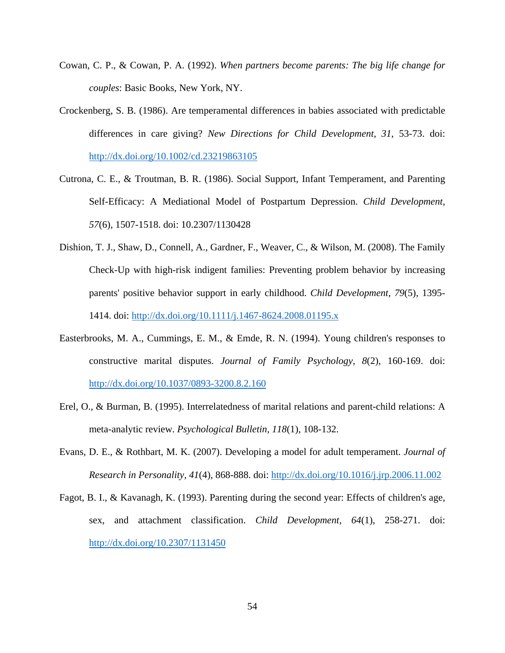- Cowan, C. P., & Cowan, P. A. (1992). *When partners become parents: The big life change for couples*: Basic Books, New York, NY.
- Crockenberg, S. B. (1986). Are temperamental differences in babies associated with predictable differences in care giving? *New Directions for Child Development, 31*, 53-73. doi: <http://dx.doi.org/10.1002/cd.23219863105>
- Cutrona, C. E., & Troutman, B. R. (1986). Social Support, Infant Temperament, and Parenting Self-Efficacy: A Mediational Model of Postpartum Depression. *Child Development, 57*(6), 1507-1518. doi: 10.2307/1130428
- Dishion, T. J., Shaw, D., Connell, A., Gardner, F., Weaver, C., & Wilson, M. (2008). The Family Check-Up with high-risk indigent families: Preventing problem behavior by increasing parents' positive behavior support in early childhood. *Child Development, 79*(5), 1395- 1414. doi:<http://dx.doi.org/10.1111/j.1467-8624.2008.01195.x>
- Easterbrooks, M. A., Cummings, E. M., & Emde, R. N. (1994). Young children's responses to constructive marital disputes. *Journal of Family Psychology, 8*(2), 160-169. doi: <http://dx.doi.org/10.1037/0893-3200.8.2.160>
- Erel, O., & Burman, B. (1995). Interrelatedness of marital relations and parent-child relations: A meta-analytic review. *Psychological Bulletin, 118*(1), 108-132.
- Evans, D. E., & Rothbart, M. K. (2007). Developing a model for adult temperament. *Journal of Research in Personality, 41*(4), 868-888. doi:<http://dx.doi.org/10.1016/j.jrp.2006.11.002>
- Fagot, B. I., & Kavanagh, K. (1993). Parenting during the second year: Effects of children's age, sex, and attachment classification. *Child Development, 64*(1), 258-271. doi: <http://dx.doi.org/10.2307/1131450>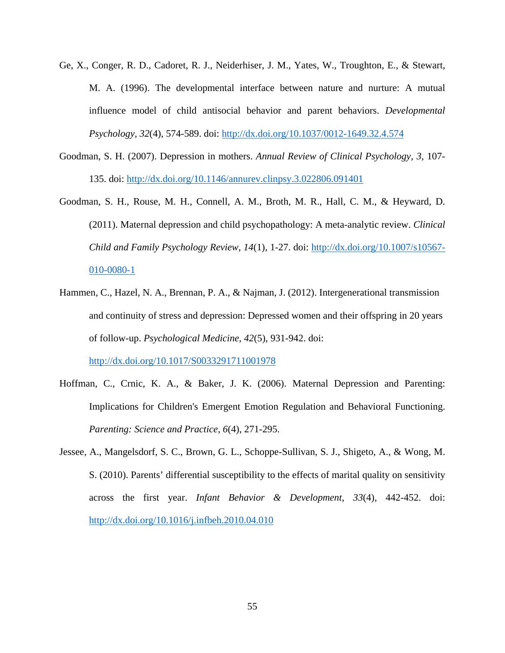- Ge, X., Conger, R. D., Cadoret, R. J., Neiderhiser, J. M., Yates, W., Troughton, E., & Stewart, M. A. (1996). The developmental interface between nature and nurture: A mutual influence model of child antisocial behavior and parent behaviors. *Developmental Psychology, 32*(4), 574-589. doi:<http://dx.doi.org/10.1037/0012-1649.32.4.574>
- Goodman, S. H. (2007). Depression in mothers. *Annual Review of Clinical Psychology, 3*, 107- 135. doi:<http://dx.doi.org/10.1146/annurev.clinpsy.3.022806.091401>
- Goodman, S. H., Rouse, M. H., Connell, A. M., Broth, M. R., Hall, C. M., & Heyward, D. (2011). Maternal depression and child psychopathology: A meta-analytic review. *Clinical Child and Family Psychology Review, 14*(1), 1-27. doi: [http://dx.doi.org/10.1007/s10567-](http://dx.doi.org/10.1007/s10567-010-0080-1) [010-0080-1](http://dx.doi.org/10.1007/s10567-010-0080-1)
- Hammen, C., Hazel, N. A., Brennan, P. A., & Najman, J. (2012). Intergenerational transmission and continuity of stress and depression: Depressed women and their offspring in 20 years of follow-up. *Psychological Medicine, 42*(5), 931-942. doi:

<http://dx.doi.org/10.1017/S0033291711001978>

- Hoffman, C., Crnic, K. A., & Baker, J. K. (2006). Maternal Depression and Parenting: Implications for Children's Emergent Emotion Regulation and Behavioral Functioning. *Parenting: Science and Practice, 6*(4), 271-295.
- Jessee, A., Mangelsdorf, S. C., Brown, G. L., Schoppe-Sullivan, S. J., Shigeto, A., & Wong, M. S. (2010). Parents' differential susceptibility to the effects of marital quality on sensitivity across the first year. *Infant Behavior & Development, 33*(4), 442-452. doi: <http://dx.doi.org/10.1016/j.infbeh.2010.04.010>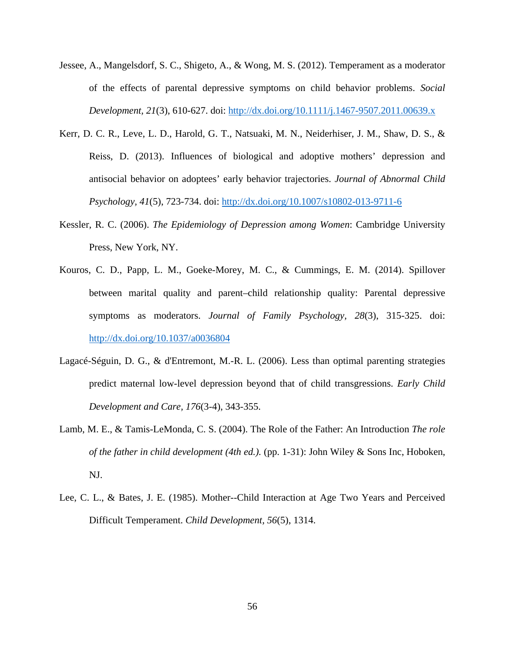- Jessee, A., Mangelsdorf, S. C., Shigeto, A., & Wong, M. S. (2012). Temperament as a moderator of the effects of parental depressive symptoms on child behavior problems. *Social Development, 21*(3), 610-627. doi:<http://dx.doi.org/10.1111/j.1467-9507.2011.00639.x>
- Kerr, D. C. R., Leve, L. D., Harold, G. T., Natsuaki, M. N., Neiderhiser, J. M., Shaw, D. S., & Reiss, D. (2013). Influences of biological and adoptive mothers' depression and antisocial behavior on adoptees' early behavior trajectories. *Journal of Abnormal Child Psychology, 41*(5), 723-734. doi:<http://dx.doi.org/10.1007/s10802-013-9711-6>
- Kessler, R. C. (2006). *The Epidemiology of Depression among Women*: Cambridge University Press, New York, NY.
- Kouros, C. D., Papp, L. M., Goeke-Morey, M. C., & Cummings, E. M. (2014). Spillover between marital quality and parent–child relationship quality: Parental depressive symptoms as moderators. *Journal of Family Psychology, 28*(3), 315-325. doi: <http://dx.doi.org/10.1037/a0036804>
- Lagacé-Séguin, D. G., & d'Entremont, M.-R. L. (2006). Less than optimal parenting strategies predict maternal low-level depression beyond that of child transgressions. *Early Child Development and Care, 176*(3-4), 343-355.
- Lamb, M. E., & Tamis-LeMonda, C. S. (2004). The Role of the Father: An Introduction *The role of the father in child development (4th ed.).* (pp. 1-31): John Wiley & Sons Inc, Hoboken, NJ.
- Lee, C. L., & Bates, J. E. (1985). Mother--Child Interaction at Age Two Years and Perceived Difficult Temperament. *Child Development, 56*(5), 1314.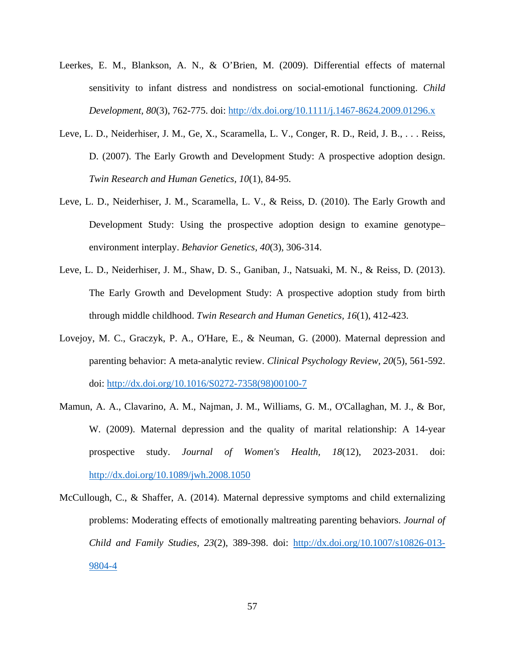- Leerkes, E. M., Blankson, A. N., & O'Brien, M. (2009). Differential effects of maternal sensitivity to infant distress and nondistress on social-emotional functioning. *Child Development, 80*(3), 762-775. doi:<http://dx.doi.org/10.1111/j.1467-8624.2009.01296.x>
- Leve, L. D., Neiderhiser, J. M., Ge, X., Scaramella, L. V., Conger, R. D., Reid, J. B., . . . Reiss, D. (2007). The Early Growth and Development Study: A prospective adoption design. *Twin Research and Human Genetics, 10*(1), 84-95.
- Leve, L. D., Neiderhiser, J. M., Scaramella, L. V., & Reiss, D. (2010). The Early Growth and Development Study: Using the prospective adoption design to examine genotype– environment interplay. *Behavior Genetics, 40*(3), 306-314.
- Leve, L. D., Neiderhiser, J. M., Shaw, D. S., Ganiban, J., Natsuaki, M. N., & Reiss, D. (2013). The Early Growth and Development Study: A prospective adoption study from birth through middle childhood. *Twin Research and Human Genetics, 16*(1), 412-423.
- Lovejoy, M. C., Graczyk, P. A., O'Hare, E., & Neuman, G. (2000). Maternal depression and parenting behavior: A meta-analytic review. *Clinical Psychology Review, 20*(5), 561-592. doi: [http://dx.doi.org/10.1016/S0272-7358\(98\)00100-7](http://dx.doi.org/10.1016/S0272-7358(98)00100-7)
- Mamun, A. A., Clavarino, A. M., Najman, J. M., Williams, G. M., O'Callaghan, M. J., & Bor, W. (2009). Maternal depression and the quality of marital relationship: A 14-year prospective study. *Journal of Women's Health, 18*(12), 2023-2031. doi: <http://dx.doi.org/10.1089/jwh.2008.1050>
- McCullough, C., & Shaffer, A. (2014). Maternal depressive symptoms and child externalizing problems: Moderating effects of emotionally maltreating parenting behaviors. *Journal of Child and Family Studies, 23*(2), 389-398. doi: [http://dx.doi.org/10.1007/s10826-013-](http://dx.doi.org/10.1007/s10826-013-9804-4) [9804-4](http://dx.doi.org/10.1007/s10826-013-9804-4)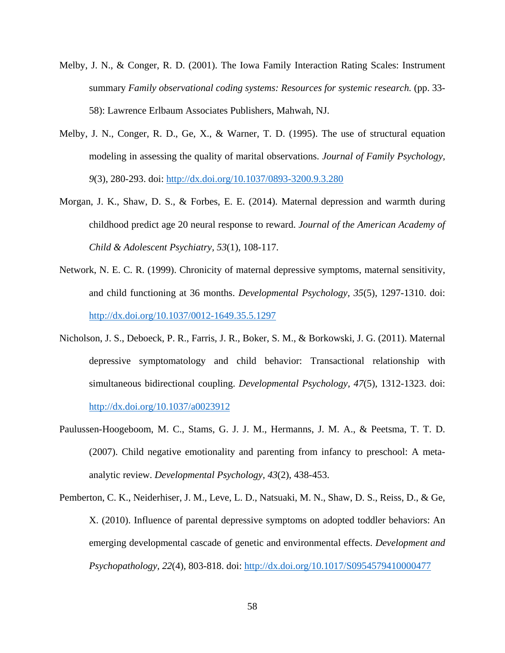- Melby, J. N., & Conger, R. D. (2001). The Iowa Family Interaction Rating Scales: Instrument summary *Family observational coding systems: Resources for systemic research.* (pp. 33- 58): Lawrence Erlbaum Associates Publishers, Mahwah, NJ.
- Melby, J. N., Conger, R. D., Ge, X., & Warner, T. D. (1995). The use of structural equation modeling in assessing the quality of marital observations. *Journal of Family Psychology, 9*(3), 280-293. doi:<http://dx.doi.org/10.1037/0893-3200.9.3.280>
- Morgan, J. K., Shaw, D. S., & Forbes, E. E. (2014). Maternal depression and warmth during childhood predict age 20 neural response to reward. *Journal of the American Academy of Child & Adolescent Psychiatry, 53*(1), 108-117.
- Network, N. E. C. R. (1999). Chronicity of maternal depressive symptoms, maternal sensitivity, and child functioning at 36 months. *Developmental Psychology, 35*(5), 1297-1310. doi: <http://dx.doi.org/10.1037/0012-1649.35.5.1297>
- Nicholson, J. S., Deboeck, P. R., Farris, J. R., Boker, S. M., & Borkowski, J. G. (2011). Maternal depressive symptomatology and child behavior: Transactional relationship with simultaneous bidirectional coupling. *Developmental Psychology, 47*(5), 1312-1323. doi: <http://dx.doi.org/10.1037/a0023912>
- Paulussen-Hoogeboom, M. C., Stams, G. J. J. M., Hermanns, J. M. A., & Peetsma, T. T. D. (2007). Child negative emotionality and parenting from infancy to preschool: A metaanalytic review. *Developmental Psychology, 43*(2), 438-453.
- Pemberton, C. K., Neiderhiser, J. M., Leve, L. D., Natsuaki, M. N., Shaw, D. S., Reiss, D., & Ge, X. (2010). Influence of parental depressive symptoms on adopted toddler behaviors: An emerging developmental cascade of genetic and environmental effects. *Development and Psychopathology, 22*(4), 803-818. doi:<http://dx.doi.org/10.1017/S0954579410000477>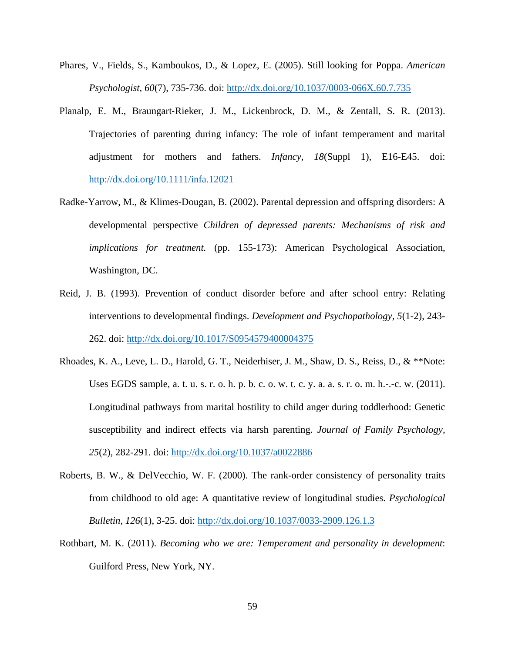- Phares, V., Fields, S., Kamboukos, D., & Lopez, E. (2005). Still looking for Poppa. *American Psychologist, 60*(7), 735-736. doi:<http://dx.doi.org/10.1037/0003-066X.60.7.735>
- Planalp, E. M., Braungart‐Rieker, J. M., Lickenbrock, D. M., & Zentall, S. R. (2013). Trajectories of parenting during infancy: The role of infant temperament and marital adjustment for mothers and fathers. *Infancy, 18*(Suppl 1), E16-E45. doi: <http://dx.doi.org/10.1111/infa.12021>
- Radke-Yarrow, M., & Klimes-Dougan, B. (2002). Parental depression and offspring disorders: A developmental perspective *Children of depressed parents: Mechanisms of risk and implications for treatment.* (pp. 155-173): American Psychological Association, Washington, DC.
- Reid, J. B. (1993). Prevention of conduct disorder before and after school entry: Relating interventions to developmental findings. *Development and Psychopathology, 5*(1-2), 243- 262. doi:<http://dx.doi.org/10.1017/S0954579400004375>
- Rhoades, K. A., Leve, L. D., Harold, G. T., Neiderhiser, J. M., Shaw, D. S., Reiss, D., & \*\*Note: Uses EGDS sample,  $a. t. u. s. r. o. h. p. b. c. o. w. t. c. y. a. a. s. r. o. m. h. -c. w. (2011).$ Longitudinal pathways from marital hostility to child anger during toddlerhood: Genetic susceptibility and indirect effects via harsh parenting. *Journal of Family Psychology, 25*(2), 282-291. doi:<http://dx.doi.org/10.1037/a0022886>
- Roberts, B. W., & DelVecchio, W. F. (2000). The rank-order consistency of personality traits from childhood to old age: A quantitative review of longitudinal studies. *Psychological Bulletin, 126*(1), 3-25. doi:<http://dx.doi.org/10.1037/0033-2909.126.1.3>
- Rothbart, M. K. (2011). *Becoming who we are: Temperament and personality in development*: Guilford Press, New York, NY.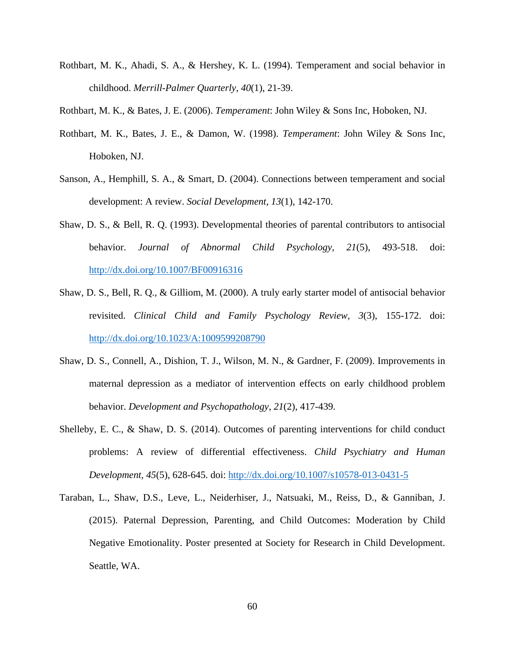- Rothbart, M. K., Ahadi, S. A., & Hershey, K. L. (1994). Temperament and social behavior in childhood. *Merrill-Palmer Quarterly, 40*(1), 21-39.
- Rothbart, M. K., & Bates, J. E. (2006). *Temperament*: John Wiley & Sons Inc, Hoboken, NJ.
- Rothbart, M. K., Bates, J. E., & Damon, W. (1998). *Temperament*: John Wiley & Sons Inc, Hoboken, NJ.
- Sanson, A., Hemphill, S. A., & Smart, D. (2004). Connections between temperament and social development: A review. *Social Development, 13*(1), 142-170.
- Shaw, D. S., & Bell, R. Q. (1993). Developmental theories of parental contributors to antisocial behavior. *Journal of Abnormal Child Psychology, 21*(5), 493-518. doi: <http://dx.doi.org/10.1007/BF00916316>
- Shaw, D. S., Bell, R. Q., & Gilliom, M. (2000). A truly early starter model of antisocial behavior revisited. *Clinical Child and Family Psychology Review, 3*(3), 155-172. doi: <http://dx.doi.org/10.1023/A:1009599208790>
- Shaw, D. S., Connell, A., Dishion, T. J., Wilson, M. N., & Gardner, F. (2009). Improvements in maternal depression as a mediator of intervention effects on early childhood problem behavior. *Development and Psychopathology, 21*(2), 417-439.
- Shelleby, E. C., & Shaw, D. S. (2014). Outcomes of parenting interventions for child conduct problems: A review of differential effectiveness. *Child Psychiatry and Human Development, 45*(5), 628-645. doi:<http://dx.doi.org/10.1007/s10578-013-0431-5>
- Taraban, L., Shaw, D.S., Leve, L., Neiderhiser, J., Natsuaki, M., Reiss, D., & Ganniban, J. (2015). Paternal Depression, Parenting, and Child Outcomes: Moderation by Child Negative Emotionality. Poster presented at Society for Research in Child Development. Seattle, WA.